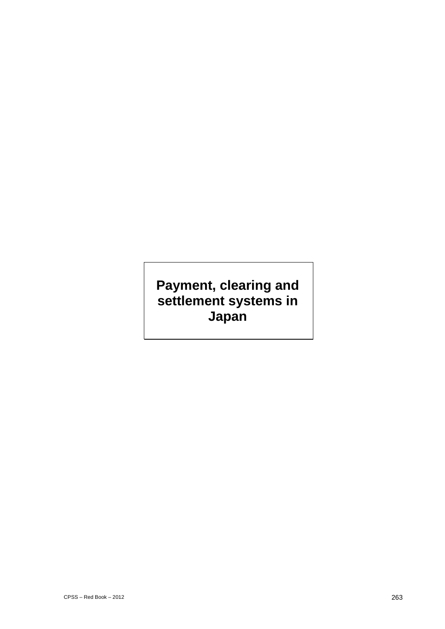# **Payment, clearing and settlement systems in Japan**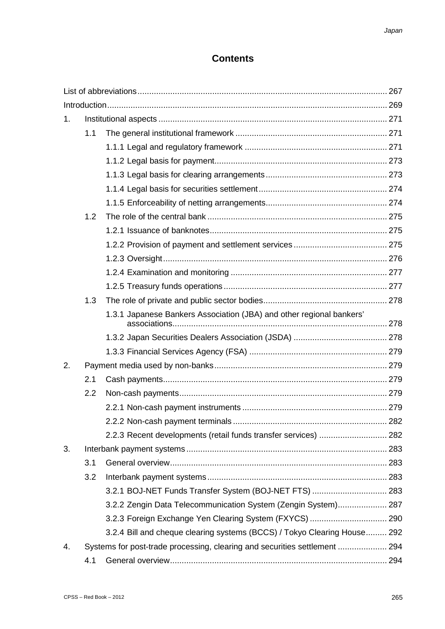# **Contents**

| 1. |                                                                            |                                                                          |  |
|----|----------------------------------------------------------------------------|--------------------------------------------------------------------------|--|
|    | 1.1                                                                        |                                                                          |  |
|    |                                                                            |                                                                          |  |
|    |                                                                            |                                                                          |  |
|    |                                                                            |                                                                          |  |
|    |                                                                            |                                                                          |  |
|    |                                                                            |                                                                          |  |
|    | 1.2                                                                        |                                                                          |  |
|    |                                                                            |                                                                          |  |
|    |                                                                            |                                                                          |  |
|    |                                                                            |                                                                          |  |
|    |                                                                            |                                                                          |  |
|    |                                                                            |                                                                          |  |
|    | 1.3                                                                        |                                                                          |  |
|    |                                                                            | 1.3.1 Japanese Bankers Association (JBA) and other regional bankers'     |  |
|    |                                                                            |                                                                          |  |
|    |                                                                            |                                                                          |  |
| 2. |                                                                            |                                                                          |  |
|    | 2.1                                                                        |                                                                          |  |
|    | 2.2                                                                        |                                                                          |  |
|    |                                                                            |                                                                          |  |
|    |                                                                            |                                                                          |  |
|    |                                                                            | 2.2.3 Recent developments (retail funds transfer services)  282          |  |
| 3. |                                                                            |                                                                          |  |
|    | 3.1                                                                        |                                                                          |  |
|    | 3.2                                                                        |                                                                          |  |
|    |                                                                            | 3.2.1 BOJ-NET Funds Transfer System (BOJ-NET FTS)  283                   |  |
|    |                                                                            | 3.2.2 Zengin Data Telecommunication System (Zengin System) 287           |  |
|    |                                                                            |                                                                          |  |
|    |                                                                            | 3.2.4 Bill and cheque clearing systems (BCCS) / Tokyo Clearing House 292 |  |
| 4. | Systems for post-trade processing, clearing and securities settlement  294 |                                                                          |  |
|    | 4.1                                                                        |                                                                          |  |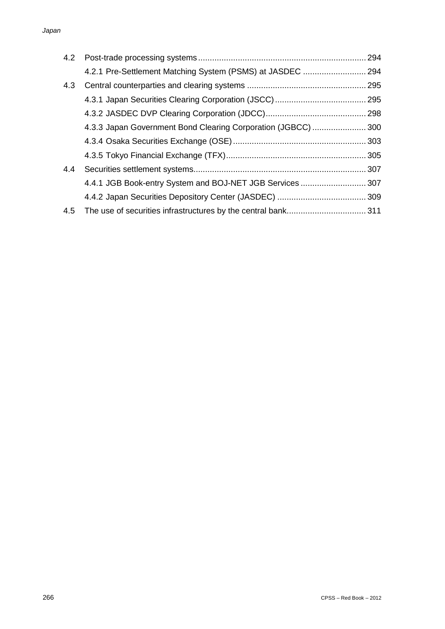|     | 4.2.1 Pre-Settlement Matching System (PSMS) at JASDEC  294    |  |
|-----|---------------------------------------------------------------|--|
| 4.3 |                                                               |  |
|     |                                                               |  |
|     |                                                               |  |
|     | 4.3.3 Japan Government Bond Clearing Corporation (JGBCC)  300 |  |
|     |                                                               |  |
|     |                                                               |  |
| 4.4 |                                                               |  |
|     | 4.4.1 JGB Book-entry System and BOJ-NET JGB Services  307     |  |
|     |                                                               |  |
| 4.5 |                                                               |  |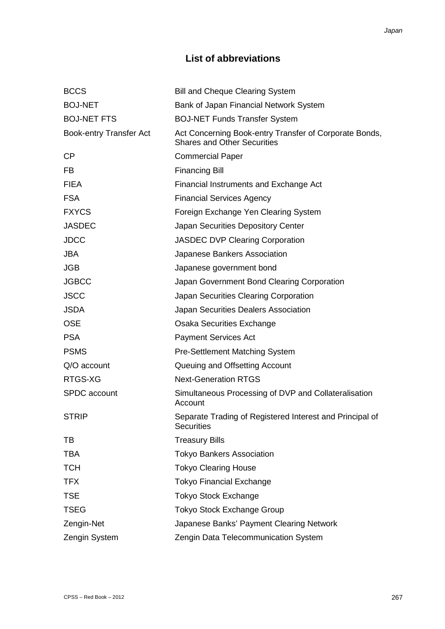# **List of abbreviations**

| <b>Bill and Cheque Clearing System</b>                                                       |
|----------------------------------------------------------------------------------------------|
| Bank of Japan Financial Network System                                                       |
| <b>BOJ-NET Funds Transfer System</b>                                                         |
| Act Concerning Book-entry Transfer of Corporate Bonds,<br><b>Shares and Other Securities</b> |
| <b>Commercial Paper</b>                                                                      |
| <b>Financing Bill</b>                                                                        |
| Financial Instruments and Exchange Act                                                       |
| <b>Financial Services Agency</b>                                                             |
| Foreign Exchange Yen Clearing System                                                         |
| Japan Securities Depository Center                                                           |
| <b>JASDEC DVP Clearing Corporation</b>                                                       |
| Japanese Bankers Association                                                                 |
| Japanese government bond                                                                     |
| Japan Government Bond Clearing Corporation                                                   |
| Japan Securities Clearing Corporation                                                        |
| Japan Securities Dealers Association                                                         |
| Osaka Securities Exchange                                                                    |
| <b>Payment Services Act</b>                                                                  |
| <b>Pre-Settlement Matching System</b>                                                        |
| Queuing and Offsetting Account                                                               |
| <b>Next-Generation RTGS</b>                                                                  |
| Simultaneous Processing of DVP and Collateralisation<br>Account                              |
| Separate Trading of Registered Interest and Principal of<br><b>Securities</b>                |
| <b>Treasury Bills</b>                                                                        |
| <b>Tokyo Bankers Association</b>                                                             |
| <b>Tokyo Clearing House</b>                                                                  |
| <b>Tokyo Financial Exchange</b>                                                              |
| <b>Tokyo Stock Exchange</b>                                                                  |
| <b>Tokyo Stock Exchange Group</b>                                                            |
| Japanese Banks' Payment Clearing Network                                                     |
| Zengin Data Telecommunication System                                                         |
|                                                                                              |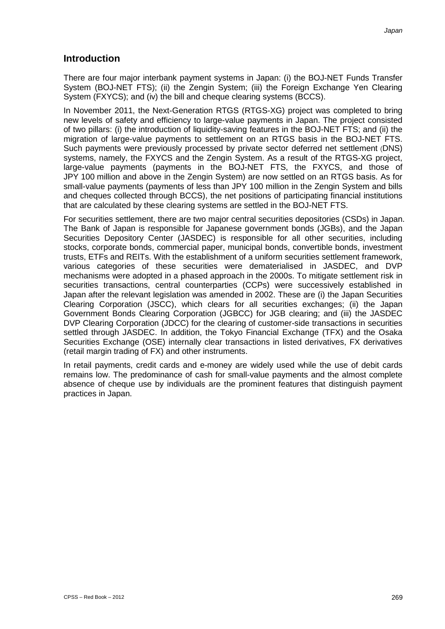# **Introduction**

There are four major interbank payment systems in Japan: (i) the BOJ-NET Funds Transfer System (BOJ-NET FTS); (ii) the Zengin System; (iii) the Foreign Exchange Yen Clearing System (FXYCS); and (iv) the bill and cheque clearing systems (BCCS).

In November 2011, the Next-Generation RTGS (RTGS-XG) project was completed to bring new levels of safety and efficiency to large-value payments in Japan. The project consisted of two pillars: (i) the introduction of liquidity-saving features in the BOJ-NET FTS; and (ii) the migration of large-value payments to settlement on an RTGS basis in the BOJ-NET FTS. Such payments were previously processed by private sector deferred net settlement (DNS) systems, namely, the FXYCS and the Zengin System. As a result of the RTGS-XG project, large-value payments (payments in the BOJ-NET FTS, the FXYCS, and those of JPY 100 million and above in the Zengin System) are now settled on an RTGS basis. As for small-value payments (payments of less than JPY 100 million in the Zengin System and bills and cheques collected through BCCS), the net positions of participating financial institutions that are calculated by these clearing systems are settled in the BOJ-NET FTS.

For securities settlement, there are two major central securities depositories (CSDs) in Japan. The Bank of Japan is responsible for Japanese government bonds (JGBs), and the Japan Securities Depository Center (JASDEC) is responsible for all other securities, including stocks, corporate bonds, commercial paper, municipal bonds, convertible bonds, investment trusts, ETFs and REITs. With the establishment of a uniform securities settlement framework, various categories of these securities were dematerialised in JASDEC, and DVP mechanisms were adopted in a phased approach in the 2000s. To mitigate settlement risk in securities transactions, central counterparties (CCPs) were successively established in Japan after the relevant legislation was amended in 2002. These are (i) the Japan Securities Clearing Corporation (JSCC), which clears for all securities exchanges; (ii) the Japan Government Bonds Clearing Corporation (JGBCC) for JGB clearing; and (iii) the JASDEC DVP Clearing Corporation (JDCC) for the clearing of customer-side transactions in securities settled through JASDEC. In addition, the Tokyo Financial Exchange (TFX) and the Osaka Securities Exchange (OSE) internally clear transactions in listed derivatives, FX derivatives (retail margin trading of FX) and other instruments.

In retail payments, credit cards and e-money are widely used while the use of debit cards remains low. The predominance of cash for small-value payments and the almost complete absence of cheque use by individuals are the prominent features that distinguish payment practices in Japan.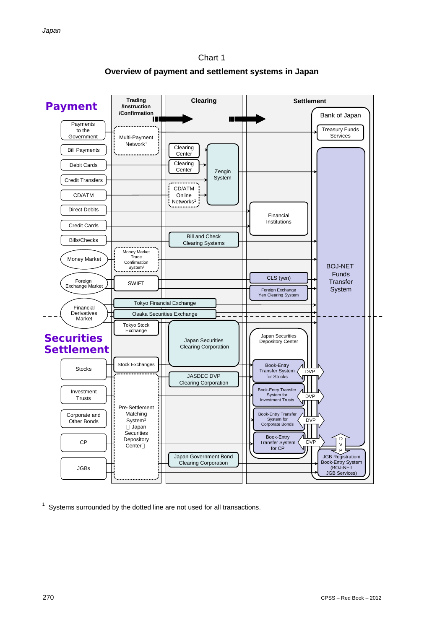

**Overview of payment and settlement systems in Japan**



 $1$  Systems surrounded by the dotted line are not used for all transactions.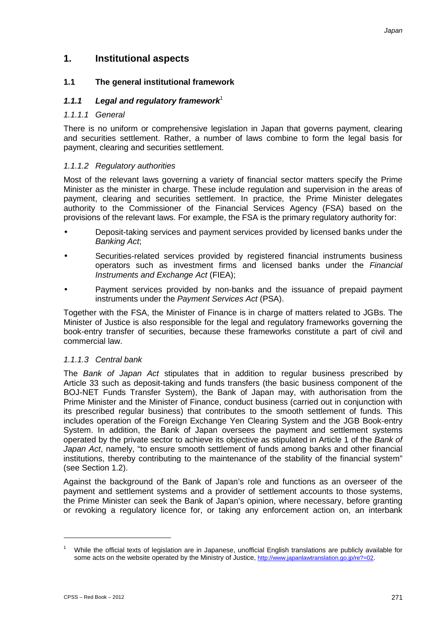# **1. Institutional aspects**

# **1.1 The general institutional framework**

# 1.1.1 Legal and regulatory framework<sup>1</sup>

#### *1.1.1.1 General*

There is no uniform or comprehensive legislation in Japan that governs payment, clearing and securities settlement. Rather, a number of laws combine to form the legal basis for payment, clearing and securities settlement.

# *1.1.1.2 Regulatory authorities*

Most of the relevant laws governing a variety of financial sector matters specify the Prime Minister as the minister in charge. These include regulation and supervision in the areas of payment, clearing and securities settlement. In practice, the Prime Minister delegates authority to the Commissioner of the Financial Services Agency (FSA) based on the provisions of the relevant laws. For example, the FSA is the primary regulatory authority for:

- Deposit-taking services and payment services provided by licensed banks under the *Banking Act*;
- Securities-related services provided by registered financial instruments business operators such as investment firms and licensed banks under the *Financial Instruments and Exchange Act* (FIEA);
- Payment services provided by non-banks and the issuance of prepaid payment instruments under the *Payment Services Act* (PSA).

Together with the FSA, the Minister of Finance is in charge of matters related to JGBs. The Minister of Justice is also responsible for the legal and regulatory frameworks governing the book-entry transfer of securities, because these frameworks constitute a part of civil and commercial law.

#### *1.1.1.3 Central bank*

The *Bank of Japan Act* stipulates that in addition to regular business prescribed by Article 33 such as deposit-taking and funds transfers (the basic business component of the BOJ-NET Funds Transfer System), the Bank of Japan may, with authorisation from the Prime Minister and the Minister of Finance, conduct business (carried out in conjunction with its prescribed regular business) that contributes to the smooth settlement of funds. This includes operation of the Foreign Exchange Yen Clearing System and the JGB Book-entry System. In addition, the Bank of Japan oversees the payment and settlement systems operated by the private sector to achieve its objective as stipulated in Article 1 of the *Bank of Japan Act*, namely, "to ensure smooth settlement of funds among banks and other financial institutions, thereby contributing to the maintenance of the stability of the financial system" (see Section 1.2).

Against the background of the Bank of Japan's role and functions as an overseer of the payment and settlement systems and a provider of settlement accounts to those systems, the Prime Minister can seek the Bank of Japan's opinion, where necessary, before granting or revoking a regulatory licence for, or taking any enforcement action on, an interbank

<u>.</u>

<sup>1</sup> While the official texts of legislation are in Japanese, unofficial English translations are publicly available for some acts on the website operated by the Ministry of Justice, http://www.japanlawtranslation.go.jp/re?=02.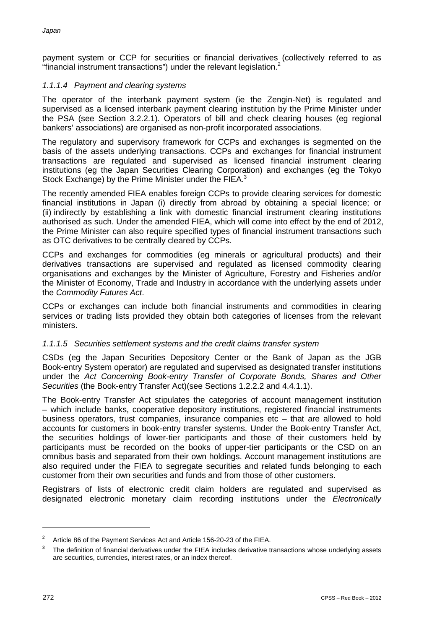payment system or CCP for securities or financial derivatives (collectively referred to as "financial instrument transactions") under the relevant legislation.<sup>2</sup>

# *1.1.1.4 Payment and clearing systems*

The operator of the interbank payment system (ie the Zengin-Net) is regulated and supervised as a licensed interbank payment clearing institution by the Prime Minister under the PSA (see Section 3.2.2.1). Operators of bill and check clearing houses (eg regional bankers' associations) are organised as non-profit incorporated associations.

The regulatory and supervisory framework for CCPs and exchanges is segmented on the basis of the assets underlying transactions. CCPs and exchanges for financial instrument transactions are regulated and supervised as licensed financial instrument clearing institutions (eg the Japan Securities Clearing Corporation) and exchanges (eg the Tokyo Stock Exchange) by the Prime Minister under the FIEA.<sup>3</sup>

The recently amended FIEA enables foreign CCPs to provide clearing services for domestic financial institutions in Japan (i) directly from abroad by obtaining a special licence; or (ii) indirectly by establishing a link with domestic financial instrument clearing institutions authorised as such. Under the amended FIEA, which will come into effect by the end of 2012, the Prime Minister can also require specified types of financial instrument transactions such as OTC derivatives to be centrally cleared by CCPs.

CCPs and exchanges for commodities (eg minerals or agricultural products) and their derivatives transactions are supervised and regulated as licensed commodity clearing organisations and exchanges by the Minister of Agriculture, Forestry and Fisheries and/or the Minister of Economy, Trade and Industry in accordance with the underlying assets under the *Commodity Futures Act*.

CCPs or exchanges can include both financial instruments and commodities in clearing services or trading lists provided they obtain both categories of licenses from the relevant ministers.

# *1.1.1.5 Securities settlement systems and the credit claims transfer system*

CSDs (eg the Japan Securities Depository Center or the Bank of Japan as the JGB Book-entry System operator) are regulated and supervised as designated transfer institutions under the *Act Concerning Book-entry Transfer of Corporate Bonds, Shares and Other Securities* (the Book-entry Transfer Act)(see Sections 1.2.2.2 and 4.4.1.1).

The Book-entry Transfer Act stipulates the categories of account management institution – which include banks, cooperative depository institutions, registered financial instruments business operators, trust companies, insurance companies etc – that are allowed to hold accounts for customers in book-entry transfer systems. Under the Book-entry Transfer Act, the securities holdings of lower-tier participants and those of their customers held by participants must be recorded on the books of upper-tier participants or the CSD on an omnibus basis and separated from their own holdings. Account management institutions are also required under the FIEA to segregate securities and related funds belonging to each customer from their own securities and funds and from those of other customers.

Registrars of lists of electronic credit claim holders are regulated and supervised as designated electronic monetary claim recording institutions under the *Electronically*

<sup>&</sup>lt;sup>2</sup> Article 86 of the Payment Services Act and Article 156-20-23 of the FIEA.

<sup>3</sup> The definition of financial derivatives under the FIEA includes derivative transactions whose underlying assets are securities, currencies, interest rates, or an index thereof.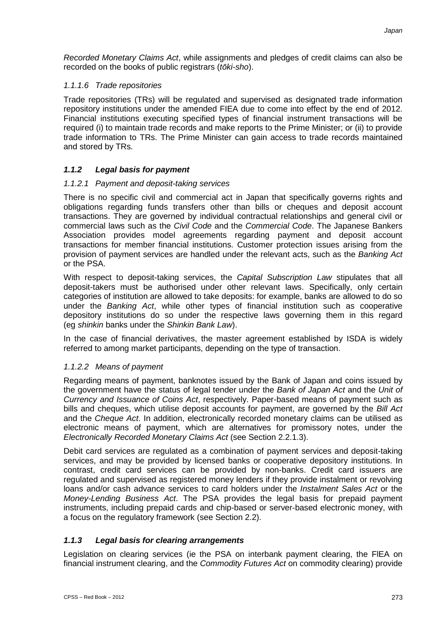*Recorded Monetary Claims Act*, while assignments and pledges of credit claims can also be recorded on the books of public registrars (*tōki-sho*).

# *1.1.1.6 Trade repositories*

Trade repositories (TRs) will be regulated and supervised as designated trade information repository institutions under the amended FIEA due to come into effect by the end of 2012. Financial institutions executing specified types of financial instrument transactions will be required (i) to maintain trade records and make reports to the Prime Minister; or (ii) to provide trade information to TRs. The Prime Minister can gain access to trade records maintained and stored by TRs.

# *1.1.2 Legal basis for payment*

# *1.1.2.1 Payment and deposit-taking services*

There is no specific civil and commercial act in Japan that specifically governs rights and obligations regarding funds transfers other than bills or cheques and deposit account transactions. They are governed by individual contractual relationships and general civil or commercial laws such as the *Civil Code* and the *Commercial Code*. The Japanese Bankers Association provides model agreements regarding payment and deposit account transactions for member financial institutions. Customer protection issues arising from the provision of payment services are handled under the relevant acts, such as the *Banking Act* or the PSA.

With respect to deposit-taking services, the *Capital Subscription Law* stipulates that all deposit-takers must be authorised under other relevant laws. Specifically, only certain categories of institution are allowed to take deposits: for example, banks are allowed to do so under the *Banking Act*, while other types of financial institution such as cooperative depository institutions do so under the respective laws governing them in this regard (eg *shinkin* banks under the *Shinkin Bank Law*).

In the case of financial derivatives, the master agreement established by ISDA is widely referred to among market participants, depending on the type of transaction.

# *1.1.2.2 Means of payment*

Regarding means of payment, banknotes issued by the Bank of Japan and coins issued by the government have the status of legal tender under the *Bank of Japan Act* and the *Unit of Currency and Issuance of Coins Act*, respectively. Paper-based means of payment such as bills and cheques, which utilise deposit accounts for payment, are governed by the *Bill Act* and the *Cheque Act*. In addition, electronically recorded monetary claims can be utilised as electronic means of payment, which are alternatives for promissory notes, under the *Electronically Recorded Monetary Claims Act* (see Section 2.2.1.3).

Debit card services are regulated as a combination of payment services and deposit-taking services, and may be provided by licensed banks or cooperative depository institutions. In contrast, credit card services can be provided by non-banks. Credit card issuers are regulated and supervised as registered money lenders if they provide instalment or revolving loans and/or cash advance services to card holders under the *Instalment Sales Act* or the *Money-Lending Business Act*. The PSA provides the legal basis for prepaid payment instruments, including prepaid cards and chip-based or server-based electronic money, with a focus on the regulatory framework (see Section 2.2).

# *1.1.3 Legal basis for clearing arrangements*

Legislation on clearing services (ie the PSA on interbank payment clearing, the FlEA on financial instrument clearing, and the *Commodity Futures Act* on commodity clearing) provide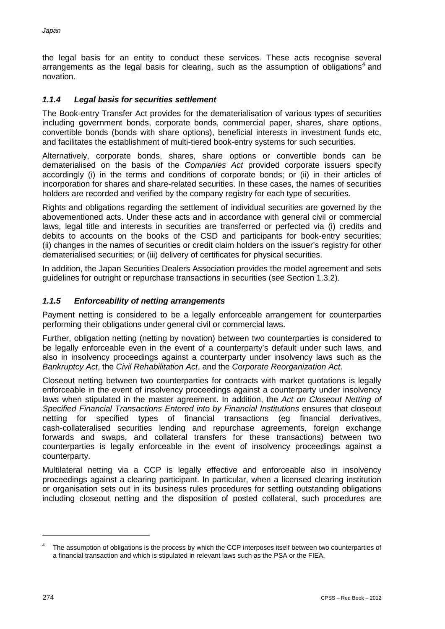the legal basis for an entity to conduct these services. These acts recognise several arrangements as the legal basis for clearing, such as the assumption of obligations<sup>4</sup> and novation.

# *1.1.4 Legal basis for securities settlement*

The Book-entry Transfer Act provides for the dematerialisation of various types of securities including government bonds, corporate bonds, commercial paper, shares, share options, convertible bonds (bonds with share options), beneficial interests in investment funds etc, and facilitates the establishment of multi-tiered book-entry systems for such securities.

Alternatively, corporate bonds, shares, share options or convertible bonds can be dematerialised on the basis of the *Companies Act* provided corporate issuers specify accordingly (i) in the terms and conditions of corporate bonds; or (ii) in their articles of incorporation for shares and share-related securities. In these cases, the names of securities holders are recorded and verified by the company registry for each type of securities.

Rights and obligations regarding the settlement of individual securities are governed by the abovementioned acts. Under these acts and in accordance with general civil or commercial laws, legal title and interests in securities are transferred or perfected via (i) credits and debits to accounts on the books of the CSD and participants for book-entry securities; (ii) changes in the names of securities or credit claim holders on the issuer's registry for other dematerialised securities; or (iii) delivery of certificates for physical securities.

In addition, the Japan Securities Dealers Association provides the model agreement and sets guidelines for outright or repurchase transactions in securities (see Section 1.3.2).

# *1.1.5 Enforceability of netting arrangements*

Payment netting is considered to be a legally enforceable arrangement for counterparties performing their obligations under general civil or commercial laws.

Further, obligation netting (netting by novation) between two counterparties is considered to be legally enforceable even in the event of a counterparty's default under such laws, and also in insolvency proceedings against a counterparty under insolvency laws such as the *Bankruptcy Act*, the *Civil Rehabilitation Act*, and the *Corporate Reorganization Act*.

Closeout netting between two counterparties for contracts with market quotations is legally enforceable in the event of insolvency proceedings against a counterparty under insolvency laws when stipulated in the master agreement. In addition, the *Act on Closeout Netting of Specified Financial Transactions Entered into by Financial Institutions* ensures that closeout netting for specified types of financial transactions (eg financial derivatives, cash-collateralised securities lending and repurchase agreements, foreign exchange forwards and swaps, and collateral transfers for these transactions) between two counterparties is legally enforceable in the event of insolvency proceedings against a counterparty.

Multilateral netting via a CCP is legally effective and enforceable also in insolvency proceedings against a clearing participant. In particular, when a licensed clearing institution or organisation sets out in its business rules procedures for settling outstanding obligations including closeout netting and the disposition of posted collateral, such procedures are

 $\overline{a}$ 

The assumption of obligations is the process by which the CCP interposes itself between two counterparties of a financial transaction and which is stipulated in relevant laws such as the PSA or the FIEA.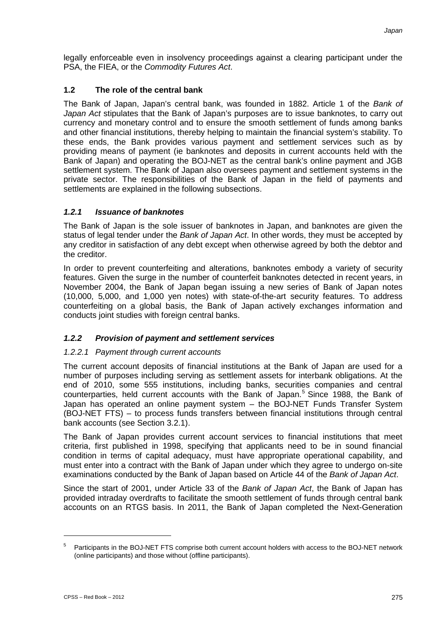legally enforceable even in insolvency proceedings against a clearing participant under the PSA, the FIEA, or the *Commodity Futures Act*.

# **1.2 The role of the central bank**

The Bank of Japan, Japan's central bank, was founded in 1882. Article 1 of the *Bank of Japan Act* stipulates that the Bank of Japan's purposes are to issue banknotes, to carry out currency and monetary control and to ensure the smooth settlement of funds among banks and other financial institutions, thereby helping to maintain the financial system's stability. To these ends, the Bank provides various payment and settlement services such as by providing means of payment (ie banknotes and deposits in current accounts held with the Bank of Japan) and operating the BOJ-NET as the central bank's online payment and JGB settlement system. The Bank of Japan also oversees payment and settlement systems in the private sector. The responsibilities of the Bank of Japan in the field of payments and settlements are explained in the following subsections.

# *1.2.1 Issuance of banknotes*

The Bank of Japan is the sole issuer of banknotes in Japan, and banknotes are given the status of legal tender under the *Bank of Japan Act*. In other words, they must be accepted by any creditor in satisfaction of any debt except when otherwise agreed by both the debtor and the creditor.

In order to prevent counterfeiting and alterations, banknotes embody a variety of security features. Given the surge in the number of counterfeit banknotes detected in recent years, in November 2004, the Bank of Japan began issuing a new series of Bank of Japan notes (10,000, 5,000, and 1,000 yen notes) with state-of-the-art security features. To address counterfeiting on a global basis, the Bank of Japan actively exchanges information and conducts joint studies with foreign central banks.

# *1.2.2 Provision of payment and settlement services*

# *1.2.2.1 Payment through current accounts*

The current account deposits of financial institutions at the Bank of Japan are used for a number of purposes including serving as settlement assets for interbank obligations. At the end of 2010, some 555 institutions, including banks, securities companies and central counterparties, held current accounts with the Bank of Japan. <sup>5</sup> Since 1988, the Bank of Japan has operated an online payment system – the BOJ-NET Funds Transfer System (BOJ-NET FTS) – to process funds transfers between financial institutions through central bank accounts (see Section 3.2.1).

The Bank of Japan provides current account services to financial institutions that meet criteria, first published in 1998, specifying that applicants need to be in sound financial condition in terms of capital adequacy, must have appropriate operational capability, and must enter into a contract with the Bank of Japan under which they agree to undergo on-site examinations conducted by the Bank of Japan based on Article 44 of the *Bank of Japan Act*.

Since the start of 2001, under Article 33 of the *Bank of Japan Act*, the Bank of Japan has provided intraday overdrafts to facilitate the smooth settlement of funds through central bank accounts on an RTGS basis. In 2011, the Bank of Japan completed the Next-Generation

<sup>5</sup> Participants in the BOJ-NET FTS comprise both current account holders with access to the BOJ-NET network (online participants) and those without (offline participants).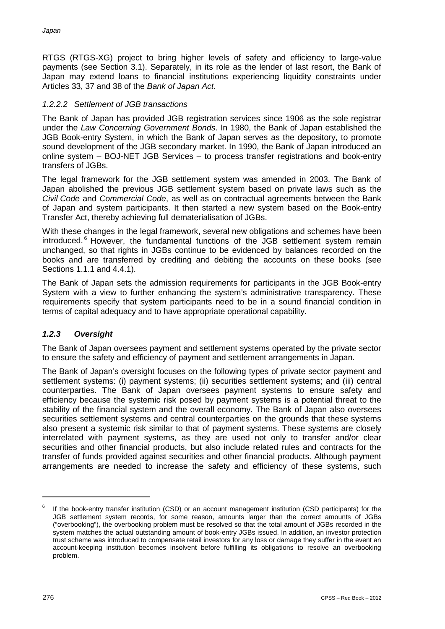RTGS (RTGS-XG) project to bring higher levels of safety and efficiency to large-value payments (see Section 3.1). Separately, in its role as the lender of last resort, the Bank of Japan may extend loans to financial institutions experiencing liquidity constraints under Articles 33, 37 and 38 of the *Bank of Japan Act*.

# *1.2.2.2 Settlement of JGB transactions*

The Bank of Japan has provided JGB registration services since 1906 as the sole registrar under the *Law Concerning Government Bonds*. In 1980, the Bank of Japan established the JGB Book-entry System, in which the Bank of Japan serves as the depository, to promote sound development of the JGB secondary market. In 1990, the Bank of Japan introduced an online system – BOJ-NET JGB Services – to process transfer registrations and book-entry transfers of JGBs.

The legal framework for the JGB settlement system was amended in 2003. The Bank of Japan abolished the previous JGB settlement system based on private laws such as the *Civil Code* and *Commercial Code*, as well as on contractual agreements between the Bank of Japan and system participants. It then started a new system based on the Book-entry Transfer Act, thereby achieving full dematerialisation of JGBs.

With these changes in the legal framework, several new obligations and schemes have been introduced. <sup>6</sup> However, the fundamental functions of the JGB settlement system remain unchanged, so that rights in JGBs continue to be evidenced by balances recorded on the books and are transferred by crediting and debiting the accounts on these books (see Sections 1.1.1 and 4.4.1).

The Bank of Japan sets the admission requirements for participants in the JGB Book-entry System with a view to further enhancing the system's administrative transparency. These requirements specify that system participants need to be in a sound financial condition in terms of capital adequacy and to have appropriate operational capability.

# *1.2.3 Oversight*

The Bank of Japan oversees payment and settlement systems operated by the private sector to ensure the safety and efficiency of payment and settlement arrangements in Japan.

The Bank of Japan's oversight focuses on the following types of private sector payment and settlement systems: (i) payment systems; (ii) securities settlement systems; and (iii) central counterparties. The Bank of Japan oversees payment systems to ensure safety and efficiency because the systemic risk posed by payment systems is a potential threat to the stability of the financial system and the overall economy. The Bank of Japan also oversees securities settlement systems and central counterparties on the grounds that these systems also present a systemic risk similar to that of payment systems. These systems are closely interrelated with payment systems, as they are used not only to transfer and/or clear securities and other financial products, but also include related rules and contracts for the transfer of funds provided against securities and other financial products. Although payment arrangements are needed to increase the safety and efficiency of these systems, such

If the book-entry transfer institution (CSD) or an account management institution (CSD participants) for the JGB settlement system records, for some reason, amounts larger than the correct amounts of JGBs ("overbooking"), the overbooking problem must be resolved so that the total amount of JGBs recorded in the system matches the actual outstanding amount of book-entry JGBs issued. In addition, an investor protection trust scheme was introduced to compensate retail investors for any loss or damage they suffer in the event an account-keeping institution becomes insolvent before fulfilling its obligations to resolve an overbooking problem.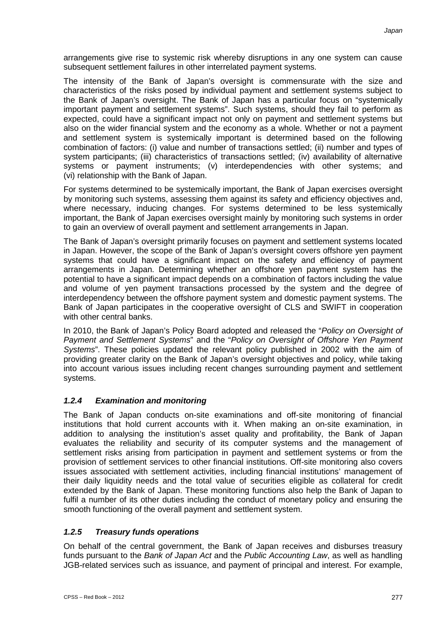arrangements give rise to systemic risk whereby disruptions in any one system can cause subsequent settlement failures in other interrelated payment systems.

The intensity of the Bank of Japan's oversight is commensurate with the size and characteristics of the risks posed by individual payment and settlement systems subject to the Bank of Japan's oversight. The Bank of Japan has a particular focus on "systemically important payment and settlement systems". Such systems, should they fail to perform as expected, could have a significant impact not only on payment and settlement systems but also on the wider financial system and the economy as a whole. Whether or not a payment and settlement system is systemically important is determined based on the following combination of factors: (i) value and number of transactions settled; (ii) number and types of system participants; (iii) characteristics of transactions settled; (iv) availability of alternative systems or payment instruments; (v) interdependencies with other systems; and (vi) relationship with the Bank of Japan.

For systems determined to be systemically important, the Bank of Japan exercises oversight by monitoring such systems, assessing them against its safety and efficiency objectives and, where necessary, inducing changes. For systems determined to be less systemically important, the Bank of Japan exercises oversight mainly by monitoring such systems in order to gain an overview of overall payment and settlement arrangements in Japan.

The Bank of Japan's oversight primarily focuses on payment and settlement systems located in Japan. However, the scope of the Bank of Japan's oversight covers offshore yen payment systems that could have a significant impact on the safety and efficiency of payment arrangements in Japan. Determining whether an offshore yen payment system has the potential to have a significant impact depends on a combination of factors including the value and volume of yen payment transactions processed by the system and the degree of interdependency between the offshore payment system and domestic payment systems. The Bank of Japan participates in the cooperative oversight of CLS and SWIFT in cooperation with other central banks.

In 2010, the Bank of Japan's Policy Board adopted and released the "*Policy on Oversight of Payment and Settlement Systems*" and the "*Policy on Oversight of Offshore Yen Payment Systems*". These policies updated the relevant policy published in 2002 with the aim of providing greater clarity on the Bank of Japan's oversight objectives and policy, while taking into account various issues including recent changes surrounding payment and settlement systems.

# *1.2.4 Examination and monitoring*

The Bank of Japan conducts on-site examinations and off-site monitoring of financial institutions that hold current accounts with it. When making an on-site examination, in addition to analysing the institution's asset quality and profitability, the Bank of Japan evaluates the reliability and security of its computer systems and the management of settlement risks arising from participation in payment and settlement systems or from the provision of settlement services to other financial institutions. Off-site monitoring also covers issues associated with settlement activities, including financial institutions' management of their daily liquidity needs and the total value of securities eligible as collateral for credit extended by the Bank of Japan. These monitoring functions also help the Bank of Japan to fulfil a number of its other duties including the conduct of monetary policy and ensuring the smooth functioning of the overall payment and settlement system.

# *1.2.5 Treasury funds operations*

On behalf of the central government, the Bank of Japan receives and disburses treasury funds pursuant to the *Bank of Japan Act* and the *Public Accounting Law*, as well as handling JGB-related services such as issuance, and payment of principal and interest. For example,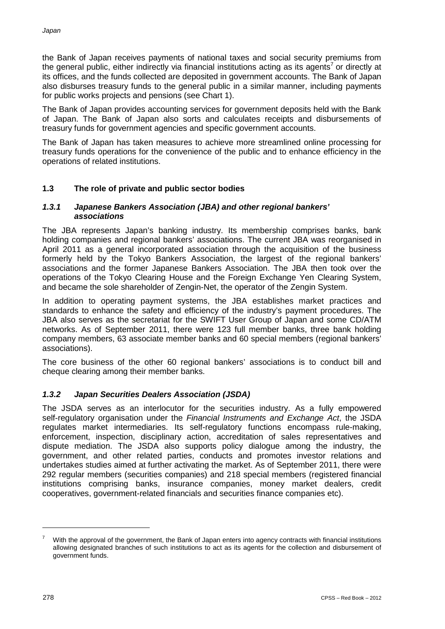the Bank of Japan receives payments of national taxes and social security premiums from the general public, either indirectly via financial institutions acting as its agents<sup>7</sup> or directly at its offices, and the funds collected are deposited in government accounts. The Bank of Japan also disburses treasury funds to the general public in a similar manner, including payments for public works projects and pensions (see Chart 1).

The Bank of Japan provides accounting services for government deposits held with the Bank of Japan. The Bank of Japan also sorts and calculates receipts and disbursements of treasury funds for government agencies and specific government accounts.

The Bank of Japan has taken measures to achieve more streamlined online processing for treasury funds operations for the convenience of the public and to enhance efficiency in the operations of related institutions.

# **1.3 The role of private and public sector bodies**

#### *1.3.1 Japanese Bankers Association (JBA) and other regional bankers' associations*

The JBA represents Japan's banking industry. Its membership comprises banks, bank holding companies and regional bankers' associations. The current JBA was reorganised in April 2011 as a general incorporated association through the acquisition of the business formerly held by the Tokyo Bankers Association, the largest of the regional bankers' associations and the former Japanese Bankers Association. The JBA then took over the operations of the Tokyo Clearing House and the Foreign Exchange Yen Clearing System, and became the sole shareholder of Zengin-Net, the operator of the Zengin System.

In addition to operating payment systems, the JBA establishes market practices and standards to enhance the safety and efficiency of the industry's payment procedures. The JBA also serves as the secretariat for the SWIFT User Group of Japan and some CD/ATM networks. As of September 2011, there were 123 full member banks, three bank holding company members, 63 associate member banks and 60 special members (regional bankers' associations).

The core business of the other 60 regional bankers' associations is to conduct bill and cheque clearing among their member banks.

# *1.3.2 Japan Securities Dealers Association (JSDA)*

The JSDA serves as an interlocutor for the securities industry. As a fully empowered self-regulatory organisation under the *Financial Instruments and Exchange Act*, the JSDA regulates market intermediaries. Its self-regulatory functions encompass rule-making, enforcement, inspection, disciplinary action, accreditation of sales representatives and dispute mediation. The JSDA also supports policy dialogue among the industry, the government, and other related parties, conducts and promotes investor relations and undertakes studies aimed at further activating the market. As of September 2011, there were 292 regular members (securities companies) and 218 special members (registered financial institutions comprising banks, insurance companies, money market dealers, credit cooperatives, government-related financials and securities finance companies etc).

With the approval of the government, the Bank of Japan enters into agency contracts with financial institutions allowing designated branches of such institutions to act as its agents for the collection and disbursement of government funds.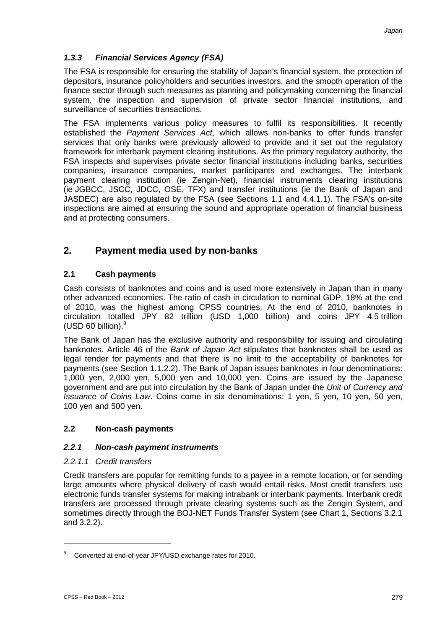# *1.3.3 Financial Services Agency (FSA)*

The FSA is responsible for ensuring the stability of Japan's financial system, the protection of depositors, insurance policyholders and securities investors, and the smooth operation of the finance sector through such measures as planning and policymaking concerning the financial system, the inspection and supervision of private sector financial institutions, and surveillance of securities transactions.

The FSA implements various policy measures to fulfil its responsibilities. It recently established the *Payment Services Act*, which allows non-banks to offer funds transfer services that only banks were previously allowed to provide and it set out the regulatory framework for interbank payment clearing institutions. As the primary regulatory authority, the FSA inspects and supervises private sector financial institutions including banks, securities companies, insurance companies, market participants and exchanges. The interbank payment clearing institution (ie Zengin-Net), financial instruments clearing institutions (ie JGBCC, JSCC, JDCC, OSE, TFX) and transfer institutions (ie the Bank of Japan and JASDEC) are also regulated by the FSA (see Sections 1.1 and 4.4.1.1). The FSA's on-site inspections are aimed at ensuring the sound and appropriate operation of financial business and at protecting consumers.

# **2. Payment media used by non-banks**

# **2.1 Cash payments**

Cash consists of banknotes and coins and is used more extensively in Japan than in many other advanced economies. The ratio of cash in circulation to nominal GDP, 18% at the end of 2010, was the highest among CPSS countries. At the end of 2010, banknotes in circulation totalled JPY 82 trillion (USD 1,000 billion) and coins JPY 4.5 trillion (USD 60 billion).8

The Bank of Japan has the exclusive authority and responsibility for issuing and circulating banknotes. Article 46 of the *Bank of Japan Act* stipulates that banknotes shall be used as legal tender for payments and that there is no limit to the acceptability of banknotes for payments (see Section 1.1.2.2). The Bank of Japan issues banknotes in four denominations: 1,000 yen, 2,000 yen, 5,000 yen and 10,000 yen. Coins are issued by the Japanese government and are put into circulation by the Bank of Japan under the *Unit of Currency and Issuance of Coins Law*. Coins come in six denominations: 1 yen, 5 yen, 10 yen, 50 yen, 100 yen and 500 yen.

# **2.2 Non-cash payments**

# *2.2.1 Non-cash payment instruments*

# *2.2.1.1 Credit transfers*

Credit transfers are popular for remitting funds to a payee in a remote location, or for sending large amounts where physical delivery of cash would entail risks. Most credit transfers use electronic funds transfer systems for making intrabank or interbank payments. Interbank credit transfers are processed through private clearing systems such as the Zengin System, and sometimes directly through the BOJ-NET Funds Transfer System (see Chart 1, Sections 3.2.1 and 3.2.2).

Converted at end-of-year JPY/USD exchange rates for 2010.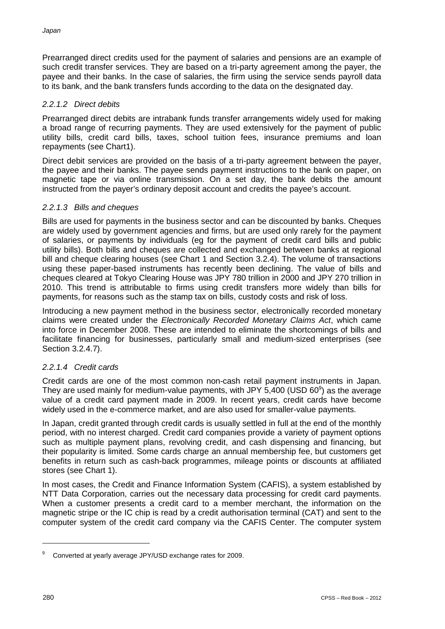Prearranged direct credits used for the payment of salaries and pensions are an example of such credit transfer services. They are based on a tri-party agreement among the payer, the payee and their banks. In the case of salaries, the firm using the service sends payroll data to its bank, and the bank transfers funds according to the data on the designated day.

### *2.2.1.2 Direct debits*

Prearranged direct debits are intrabank funds transfer arrangements widely used for making a broad range of recurring payments. They are used extensively for the payment of public utility bills, credit card bills, taxes, school tuition fees, insurance premiums and loan repayments (see Chart1).

Direct debit services are provided on the basis of a tri-party agreement between the payer, the payee and their banks. The payee sends payment instructions to the bank on paper, on magnetic tape or via online transmission. On a set day, the bank debits the amount instructed from the payer's ordinary deposit account and credits the payee's account.

# *2.2.1.3 Bills and cheques*

Bills are used for payments in the business sector and can be discounted by banks. Cheques are widely used by government agencies and firms, but are used only rarely for the payment of salaries, or payments by individuals (eg for the payment of credit card bills and public utility bills). Both bills and cheques are collected and exchanged between banks at regional bill and cheque clearing houses (see Chart 1 and Section 3.2.4). The volume of transactions using these paper-based instruments has recently been declining. The value of bills and cheques cleared at Tokyo Clearing House was JPY 780 trillion in 2000 and JPY 270 trillion in 2010. This trend is attributable to firms using credit transfers more widely than bills for payments, for reasons such as the stamp tax on bills, custody costs and risk of loss.

Introducing a new payment method in the business sector, electronically recorded monetary claims were created under the *Electronically Recorded Monetary Claims Act*, which came into force in December 2008. These are intended to eliminate the shortcomings of bills and facilitate financing for businesses, particularly small and medium-sized enterprises (see Section 3.2.4.7).

# *2.2.1.4 Credit cards*

Credit cards are one of the most common non-cash retail payment instruments in Japan. They are used mainly for medium-value payments, with JPY 5,400 (USD 60 $^{\circ}$ ) as the average value of a credit card payment made in 2009. In recent years, credit cards have become widely used in the e-commerce market, and are also used for smaller-value payments.

In Japan, credit granted through credit cards is usually settled in full at the end of the monthly period, with no interest charged. Credit card companies provide a variety of payment options such as multiple payment plans, revolving credit, and cash dispensing and financing, but their popularity is limited. Some cards charge an annual membership fee, but customers get benefits in return such as cash-back programmes, mileage points or discounts at affiliated stores (see Chart 1).

In most cases, the Credit and Finance Information System (CAFIS), a system established by NTT Data Corporation, carries out the necessary data processing for credit card payments. When a customer presents a credit card to a member merchant, the information on the magnetic stripe or the IC chip is read by a credit authorisation terminal (CAT) and sent to the computer system of the credit card company via the CAFIS Center. The computer system

<sup>9</sup> Converted at yearly average JPY/USD exchange rates for 2009.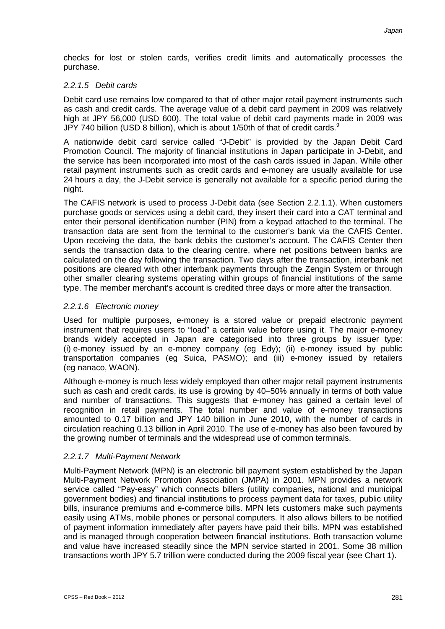checks for lost or stolen cards, verifies credit limits and automatically processes the purchase.

# *2.2.1.5 Debit cards*

Debit card use remains low compared to that of other major retail payment instruments such as cash and credit cards. The average value of a debit card payment in 2009 was relatively high at JPY 56,000 (USD 600). The total value of debit card payments made in 2009 was JPY 740 billion (USD 8 billion), which is about 1/50th of that of credit cards. $9$ 

A nationwide debit card service called "J-Debit" is provided by the Japan Debit Card Promotion Council. The majority of financial institutions in Japan participate in J-Debit, and the service has been incorporated into most of the cash cards issued in Japan. While other retail payment instruments such as credit cards and e-money are usually available for use 24 hours a day, the J-Debit service is generally not available for a specific period during the night.

The CAFIS network is used to process J-Debit data (see Section 2.2.1.1). When customers purchase goods or services using a debit card, they insert their card into a CAT terminal and enter their personal identification number (PIN) from a keypad attached to the terminal. The transaction data are sent from the terminal to the customer's bank via the CAFIS Center. Upon receiving the data, the bank debits the customer's account. The CAFIS Center then sends the transaction data to the clearing centre, where net positions between banks are calculated on the day following the transaction. Two days after the transaction, interbank net positions are cleared with other interbank payments through the Zengin System or through other smaller clearing systems operating within groups of financial institutions of the same type. The member merchant's account is credited three days or more after the transaction.

# *2.2.1.6 Electronic money*

Used for multiple purposes, e-money is a stored value or prepaid electronic payment instrument that requires users to "load" a certain value before using it. The major e-money brands widely accepted in Japan are categorised into three groups by issuer type: (i) e-money issued by an e-money company (eg Edy); (ii) e-money issued by public transportation companies (eg Suica, PASMO); and (iii) e-money issued by retailers (eg nanaco, WAON).

Although e-money is much less widely employed than other major retail payment instruments such as cash and credit cards, its use is growing by 40–50% annually in terms of both value and number of transactions. This suggests that e-money has gained a certain level of recognition in retail payments. The total number and value of e-money transactions amounted to 0.17 billion and JPY 140 billion in June 2010, with the number of cards in circulation reaching 0.13 billion in April 2010. The use of e-money has also been favoured by the growing number of terminals and the widespread use of common terminals.

# *2.2.1.7 Multi-Payment Network*

Multi-Payment Network (MPN) is an electronic bill payment system established by the Japan Multi-Payment Network Promotion Association (JMPA) in 2001. MPN provides a network service called "Pay-easy" which connects billers (utility companies, national and municipal government bodies) and financial institutions to process payment data for taxes, public utility bills, insurance premiums and e-commerce bills. MPN lets customers make such payments easily using ATMs, mobile phones or personal computers. It also allows billers to be notified of payment information immediately after payers have paid their bills. MPN was established and is managed through cooperation between financial institutions. Both transaction volume and value have increased steadily since the MPN service started in 2001. Some 38 million transactions worth JPY 5.7 trillion were conducted during the 2009 fiscal year (see Chart 1).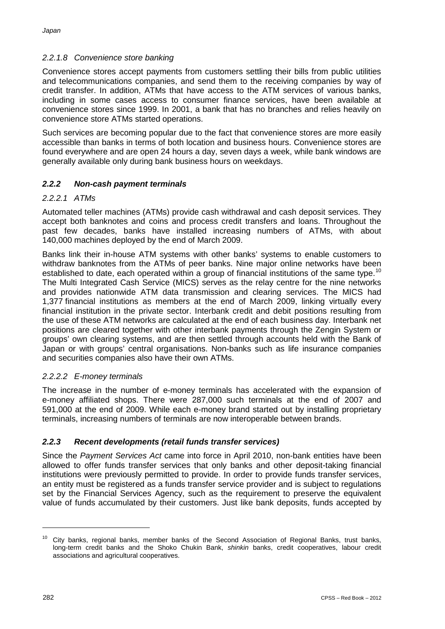# *2.2.1.8 Convenience store banking*

Convenience stores accept payments from customers settling their bills from public utilities and telecommunications companies, and send them to the receiving companies by way of credit transfer. In addition, ATMs that have access to the ATM services of various banks, including in some cases access to consumer finance services, have been available at convenience stores since 1999. In 2001, a bank that has no branches and relies heavily on convenience store ATMs started operations.

Such services are becoming popular due to the fact that convenience stores are more easily accessible than banks in terms of both location and business hours. Convenience stores are found everywhere and are open 24 hours a day, seven days a week, while bank windows are generally available only during bank business hours on weekdays.

# *2.2.2 Non-cash payment terminals*

# *2.2.2.1 ATMs*

Automated teller machines (ATMs) provide cash withdrawal and cash deposit services. They accept both banknotes and coins and process credit transfers and loans. Throughout the past few decades, banks have installed increasing numbers of ATMs, with about 140,000 machines deployed by the end of March 2009.

Banks link their in-house ATM systems with other banks' systems to enable customers to withdraw banknotes from the ATMs of peer banks. Nine major online networks have been established to date, each operated within a group of financial institutions of the same type.<sup>10</sup> The Multi Integrated Cash Service (MICS) serves as the relay centre for the nine networks and provides nationwide ATM data transmission and clearing services. The MICS had 1,377 financial institutions as members at the end of March 2009, linking virtually every financial institution in the private sector. Interbank credit and debit positions resulting from the use of these ATM networks are calculated at the end of each business day. Interbank net positions are cleared together with other interbank payments through the Zengin System or groups' own clearing systems, and are then settled through accounts held with the Bank of Japan or with groups' central organisations. Non-banks such as life insurance companies and securities companies also have their own ATMs.

# *2.2.2.2 E-money terminals*

The increase in the number of e-money terminals has accelerated with the expansion of e-money affiliated shops. There were 287,000 such terminals at the end of 2007 and 591,000 at the end of 2009. While each e-money brand started out by installing proprietary terminals, increasing numbers of terminals are now interoperable between brands.

# *2.2.3 Recent developments (retail funds transfer services)*

Since the *Payment Services Act* came into force in April 2010, non-bank entities have been allowed to offer funds transfer services that only banks and other deposit-taking financial institutions were previously permitted to provide. In order to provide funds transfer services, an entity must be registered as a funds transfer service provider and is subject to regulations set by the Financial Services Agency, such as the requirement to preserve the equivalent value of funds accumulated by their customers. Just like bank deposits, funds accepted by

<sup>&</sup>lt;sup>10</sup> City banks, regional banks, member banks of the Second Association of Regional Banks, trust banks, long-term credit banks and the Shoko Chukin Bank, *shinkin* banks, credit cooperatives, labour credit associations and agricultural cooperatives.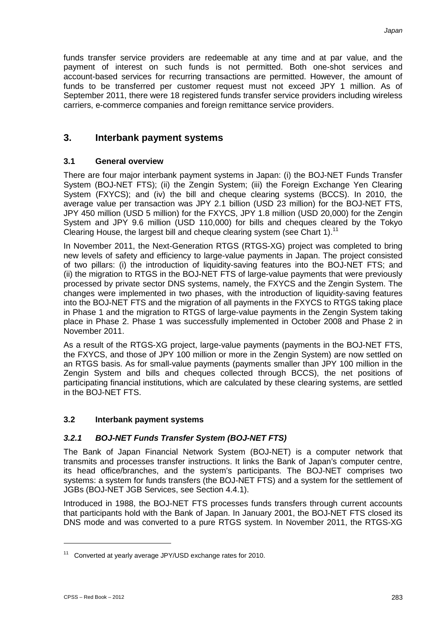funds transfer service providers are redeemable at any time and at par value, and the payment of interest on such funds is not permitted. Both one-shot services and account-based services for recurring transactions are permitted. However, the amount of funds to be transferred per customer request must not exceed JPY 1 million. As of September 2011, there were 18 registered funds transfer service providers including wireless carriers, e-commerce companies and foreign remittance service providers.

# **3. Interbank payment systems**

# **3.1 General overview**

There are four major interbank payment systems in Japan: (i) the BOJ-NET Funds Transfer System (BOJ-NET FTS); (ii) the Zengin System; (iii) the Foreign Exchange Yen Clearing System (FXYCS); and (iv) the bill and cheque clearing systems (BCCS). In 2010, the average value per transaction was JPY 2.1 billion (USD 23 million) for the BOJ-NET FTS, JPY 450 million (USD 5 million) for the FXYCS, JPY 1.8 million (USD 20,000) for the Zengin System and JPY 9.6 million (USD 110,000) for bills and cheques cleared by the Tokyo Clearing House, the largest bill and cheque clearing system (see Chart 1).<sup>11</sup>

In November 2011, the Next-Generation RTGS (RTGS-XG) project was completed to bring new levels of safety and efficiency to large-value payments in Japan. The project consisted of two pillars: (i) the introduction of liquidity-saving features into the BOJ-NET FTS; and (ii) the migration to RTGS in the BOJ-NET FTS of large-value payments that were previously processed by private sector DNS systems, namely, the FXYCS and the Zengin System. The changes were implemented in two phases, with the introduction of liquidity-saving features into the BOJ-NET FTS and the migration of all payments in the FXYCS to RTGS taking place in Phase 1 and the migration to RTGS of large-value payments in the Zengin System taking place in Phase 2. Phase 1 was successfully implemented in October 2008 and Phase 2 in November 2011.

As a result of the RTGS-XG project, large-value payments (payments in the BOJ-NET FTS, the FXYCS, and those of JPY 100 million or more in the Zengin System) are now settled on an RTGS basis. As for small-value payments (payments smaller than JPY 100 million in the Zengin System and bills and cheques collected through BCCS), the net positions of participating financial institutions, which are calculated by these clearing systems, are settled in the BOJ-NET FTS.

# **3.2 Interbank payment systems**

# *3.2.1 BOJ-NET Funds Transfer System (BOJ-NET FTS)*

The Bank of Japan Financial Network System (BOJ-NET) is a computer network that transmits and processes transfer instructions. It links the Bank of Japan's computer centre, its head office/branches, and the system's participants. The BOJ-NET comprises two systems: a system for funds transfers (the BOJ-NET FTS) and a system for the settlement of JGBs (BOJ-NET JGB Services, see Section 4.4.1).

Introduced in 1988, the BOJ-NET FTS processes funds transfers through current accounts that participants hold with the Bank of Japan. In January 2001, the BOJ-NET FTS closed its DNS mode and was converted to a pure RTGS system. In November 2011, the RTGS-XG

<sup>11</sup> Converted at yearly average JPY/USD exchange rates for 2010.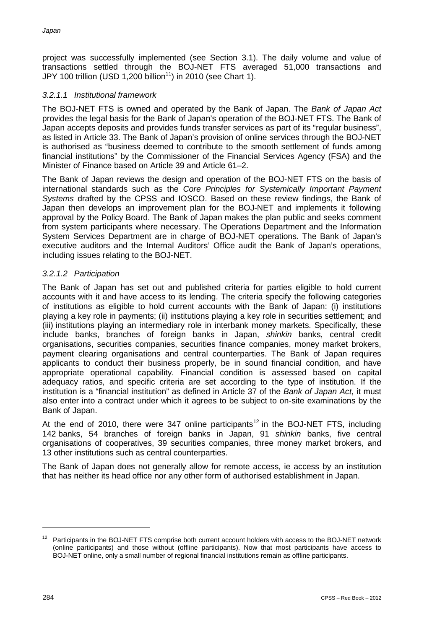project was successfully implemented (see Section 3.1). The daily volume and value of transactions settled through the BOJ-NET FTS averaged 51,000 transactions and JPY 100 trillion (USD 1,200 billion<sup>11</sup>) in 2010 (see Chart 1).

# *3.2.1.1 Institutional framework*

The BOJ-NET FTS is owned and operated by the Bank of Japan. The *Bank of Japan Act* provides the legal basis for the Bank of Japan's operation of the BOJ-NET FTS. The Bank of Japan accepts deposits and provides funds transfer services as part of its "regular business", as listed in Article 33. The Bank of Japan's provision of online services through the BOJ-NET is authorised as "business deemed to contribute to the smooth settlement of funds among financial institutions" by the Commissioner of the Financial Services Agency (FSA) and the Minister of Finance based on Article 39 and Article 61–2.

The Bank of Japan reviews the design and operation of the BOJ-NET FTS on the basis of international standards such as the *Core Principles for Systemically Important Payment Systems* drafted by the CPSS and IOSCO. Based on these review findings, the Bank of Japan then develops an improvement plan for the BOJ-NET and implements it following approval by the Policy Board. The Bank of Japan makes the plan public and seeks comment from system participants where necessary. The Operations Department and the Information System Services Department are in charge of BOJ-NET operations. The Bank of Japan's executive auditors and the Internal Auditors' Office audit the Bank of Japan's operations, including issues relating to the BOJ-NET.

# *3.2.1.2 Participation*

The Bank of Japan has set out and published criteria for parties eligible to hold current accounts with it and have access to its lending. The criteria specify the following categories of institutions as eligible to hold current accounts with the Bank of Japan: (i) institutions playing a key role in payments; (ii) institutions playing a key role in securities settlement; and (iii) institutions playing an intermediary role in interbank money markets. Specifically, these include banks, branches of foreign banks in Japan, *shinkin* banks, central credit organisations, securities companies, securities finance companies, money market brokers, payment clearing organisations and central counterparties. The Bank of Japan requires applicants to conduct their business properly, be in sound financial condition, and have appropriate operational capability. Financial condition is assessed based on capital adequacy ratios, and specific criteria are set according to the type of institution. If the institution is a "financial institution" as defined in Article 37 of the *Bank of Japan Act*, it must also enter into a contract under which it agrees to be subject to on-site examinations by the Bank of Japan.

At the end of 2010, there were 347 online participants<sup>12</sup> in the BOJ-NET FTS, including 142 banks, 54 branches of foreign banks in Japan, 91 *shinkin* banks, five central organisations of cooperatives, 39 securities companies, three money market brokers, and 13 other institutions such as central counterparties.

The Bank of Japan does not generally allow for remote access, ie access by an institution that has neither its head office nor any other form of authorised establishment in Japan.

<sup>&</sup>lt;sup>12</sup> Participants in the BOJ-NET FTS comprise both current account holders with access to the BOJ-NET network (online participants) and those without (offline participants). Now that most participants have access to BOJ-NET online, only a small number of regional financial institutions remain as offline participants.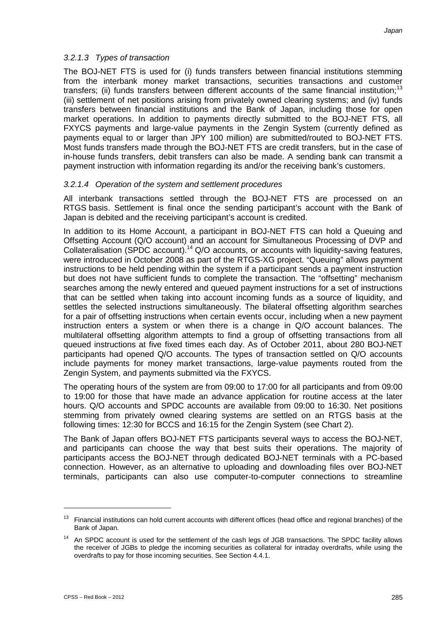### *3.2.1.3 Types of transaction*

The BOJ-NET FTS is used for (i) funds transfers between financial institutions stemming from the interbank money market transactions, securities transactions and customer transfers; (ii) funds transfers between different accounts of the same financial institution;<sup>13</sup> (iii) settlement of net positions arising from privately owned clearing systems; and (iv) funds transfers between financial institutions and the Bank of Japan, including those for open market operations. In addition to payments directly submitted to the BOJ-NET FTS, all FXYCS payments and large-value payments in the Zengin System (currently defined as payments equal to or larger than JPY 100 million) are submitted/routed to BOJ-NET FTS. Most funds transfers made through the BOJ-NET FTS are credit transfers, but in the case of in-house funds transfers, debit transfers can also be made. A sending bank can transmit a payment instruction with information regarding its and/or the receiving bank's customers.

# *3.2.1.4 Operation of the system and settlement procedures*

All interbank transactions settled through the BOJ-NET FTS are processed on an RTGS basis. Settlement is final once the sending participant's account with the Bank of Japan is debited and the receiving participant's account is credited.

In addition to its Home Account, a participant in BOJ-NET FTS can hold a Queuing and Offsetting Account (Q/O account) and an account for Simultaneous Processing of DVP and Collateralisation (SPDC account).<sup>14</sup> Q/O accounts, or accounts with liquidity-saving features, were introduced in October 2008 as part of the RTGS-XG project. "Queuing" allows payment instructions to be held pending within the system if a participant sends a payment instruction but does not have sufficient funds to complete the transaction. The "offsetting" mechanism searches among the newly entered and queued payment instructions for a set of instructions that can be settled when taking into account incoming funds as a source of liquidity, and settles the selected instructions simultaneously. The bilateral offsetting algorithm searches for a pair of offsetting instructions when certain events occur, including when a new payment instruction enters a system or when there is a change in Q/O account balances. The multilateral offsetting algorithm attempts to find a group of offsetting transactions from all queued instructions at five fixed times each day. As of October 2011, about 280 BOJ-NET participants had opened Q/O accounts. The types of transaction settled on Q/O accounts include payments for money market transactions, large-value payments routed from the Zengin System, and payments submitted via the FXYCS.

The operating hours of the system are from 09:00 to 17:00 for all participants and from 09:00 to 19:00 for those that have made an advance application for routine access at the later hours. Q/O accounts and SPDC accounts are available from 09:00 to 16:30. Net positions stemming from privately owned clearing systems are settled on an RTGS basis at the following times: 12:30 for BCCS and 16:15 for the Zengin System (see Chart 2).

The Bank of Japan offers BOJ-NET FTS participants several ways to access the BOJ-NET, and participants can choose the way that best suits their operations. The majority of participants access the BOJ-NET through dedicated BOJ-NET terminals with a PC-based connection. However, as an alternative to uploading and downloading files over BOJ-NET terminals, participants can also use computer-to-computer connections to streamline

 $13$  Financial institutions can hold current accounts with different offices (head office and regional branches) of the Bank of Japan.

<sup>&</sup>lt;sup>14</sup> An SPDC account is used for the settlement of the cash legs of JGB transactions. The SPDC facility allows the receiver of JGBs to pledge the incoming securities as collateral for intraday overdrafts, while using the overdrafts to pay for those incoming securities. See Section 4.4.1.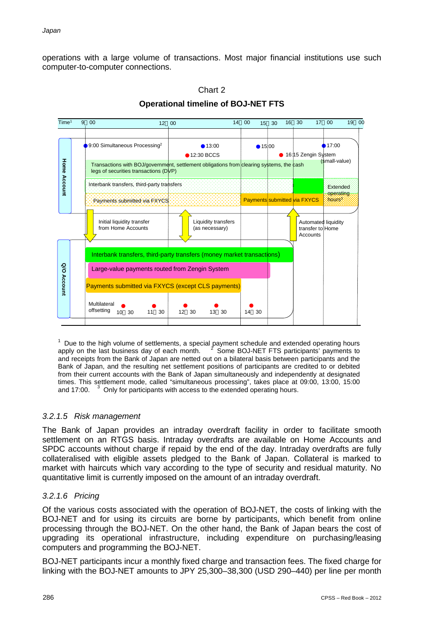operations with a large volume of transactions. Most major financial institutions use such computer-to-computer connections.





 $\overline{a}$ <sup>1</sup> Due to the high volume of settlements, a special payment schedule and extended operating hours<br>apply on the last business dav of each month. <br>A Some BOJ-NET FTS participants' payments to and receipts from the Bank of Japan are netted out on a bilateral basis between participants and the apply on the last business day of each month.  $2^2$  Some BOJ-NET FTS participants' payments to Bank of Japan, and the resulting net settlement positions of participants are credited to or debited from their current accounts with the Bank of Japan simultaneously and independently at designated times. This settlement mode, called "simultaneous processing", takes place at 09:00, 13:00, 15:00 and 17:00.  $3$  Only for participants with access to the extended operating hours.

# *3.2.1.5 Risk management*

The Bank of Japan provides an intraday overdraft facility in order to facilitate smooth settlement on an RTGS basis. Intraday overdrafts are available on Home Accounts and SPDC accounts without charge if repaid by the end of the day. Intraday overdrafts are fully collateralised with eligible assets pledged to the Bank of Japan. Collateral is marked to market with haircuts which vary according to the type of security and residual maturity. No quantitative limit is currently imposed on the amount of an intraday overdraft.

# *3.2.1.6 Pricing*

Of the various costs associated with the operation of BOJ-NET, the costs of linking with the BOJ-NET and for using its circuits are borne by participants, which benefit from online processing through the BOJ-NET. On the other hand, the Bank of Japan bears the cost of upgrading its operational infrastructure, including expenditure on purchasing/leasing computers and programming the BOJ-NET.

BOJ-NET participants incur a monthly fixed charge and transaction fees. The fixed charge for linking with the BOJ-NET amounts to JPY 25,300–38,300 (USD 290–440) per line per month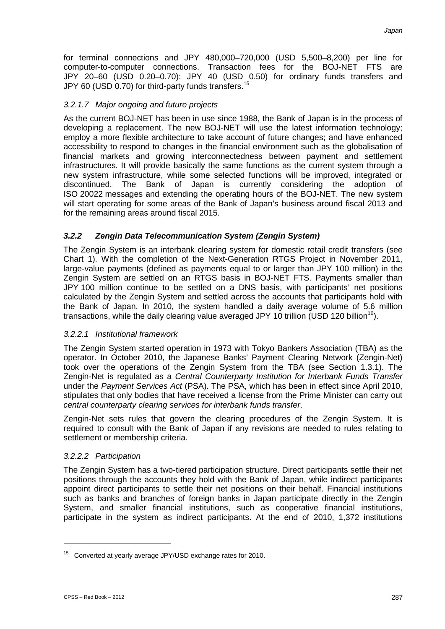for terminal connections and JPY 480,000–720,000 (USD 5,500–8,200) per line for computer-to-computer connections. Transaction fees for the BOJ-NET FTS are JPY 20–60 (USD 0.20–0.70): JPY 40 (USD 0.50) for ordinary funds transfers and JPY 60 (USD 0.70) for third-party funds transfers.<sup>15</sup>

# *3.2.1.7 Major ongoing and future projects*

As the current BOJ-NET has been in use since 1988, the Bank of Japan is in the process of developing a replacement. The new BOJ-NET will use the latest information technology; employ a more flexible architecture to take account of future changes; and have enhanced accessibility to respond to changes in the financial environment such as the globalisation of financial markets and growing interconnectedness between payment and settlement infrastructures. It will provide basically the same functions as the current system through a new system infrastructure, while some selected functions will be improved, integrated or discontinued. The Bank of Japan is currently considering the adoption of Bank of Japan is currently considering the adoption of ISO 20022 messages and extending the operating hours of the BOJ-NET. The new system will start operating for some areas of the Bank of Japan's business around fiscal 2013 and for the remaining areas around fiscal 2015.

# *3.2.2 Zengin Data Telecommunication System (Zengin System)*

The Zengin System is an interbank clearing system for domestic retail credit transfers (see Chart 1). With the completion of the Next-Generation RTGS Project in November 2011, large-value payments (defined as payments equal to or larger than JPY 100 million) in the Zengin System are settled on an RTGS basis in BOJ-NET FTS. Payments smaller than JPY 100 million continue to be settled on a DNS basis, with participants' net positions calculated by the Zengin System and settled across the accounts that participants hold with the Bank of Japan. In 2010, the system handled a daily average volume of 5.6 million transactions, while the daily clearing value averaged JPY 10 trillion (USD 120 billion<sup>16</sup>).

# *3.2.2.1 Institutional framework*

The Zengin System started operation in 1973 with Tokyo Bankers Association (TBA) as the operator. In October 2010, the Japanese Banks' Payment Clearing Network (Zengin-Net) took over the operations of the Zengin System from the TBA (see Section 1.3.1). The Zengin-Net is regulated as a *Central Counterparty Institution for Interbank Funds Transfer* under the *Payment Services Act* (PSA). The PSA, which has been in effect since April 2010, stipulates that only bodies that have received a license from the Prime Minister can carry out *central counterparty clearing services for interbank funds transfer*.

Zengin-Net sets rules that govern the clearing procedures of the Zengin System. It is required to consult with the Bank of Japan if any revisions are needed to rules relating to settlement or membership criteria.

# *3.2.2.2 Participation*

The Zengin System has a two-tiered participation structure. Direct participants settle their net positions through the accounts they hold with the Bank of Japan, while indirect participants appoint direct participants to settle their net positions on their behalf. Financial institutions such as banks and branches of foreign banks in Japan participate directly in the Zengin System, and smaller financial institutions, such as cooperative financial institutions, participate in the system as indirect participants. At the end of 2010, 1,372 institutions

<sup>15</sup> Converted at yearly average JPY/USD exchange rates for 2010.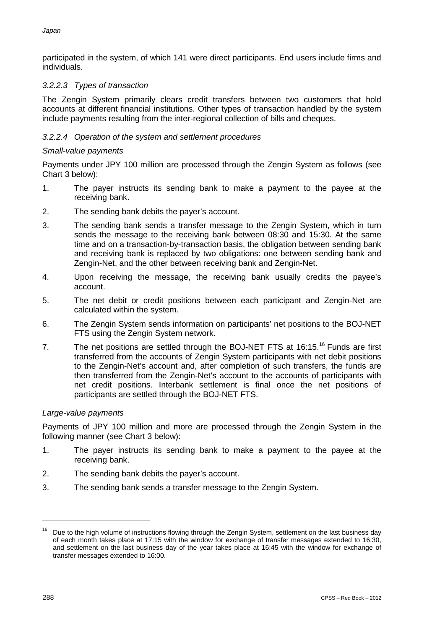participated in the system, of which 141 were direct participants. End users include firms and individuals.

# *3.2.2.3 Types of transaction*

The Zengin System primarily clears credit transfers between two customers that hold accounts at different financial institutions. Other types of transaction handled by the system include payments resulting from the inter-regional collection of bills and cheques.

# *3.2.2.4 Operation of the system and settlement procedures*

# *Small-value payments*

Payments under JPY 100 million are processed through the Zengin System as follows (see Chart 3 below):

- 1. The payer instructs its sending bank to make a payment to the payee at the receiving bank.
- 2. The sending bank debits the payer's account.
- 3. The sending bank sends a transfer message to the Zengin System, which in turn sends the message to the receiving bank between 08:30 and 15:30. At the same time and on a transaction-by-transaction basis, the obligation between sending bank and receiving bank is replaced by two obligations: one between sending bank and Zengin-Net, and the other between receiving bank and Zengin-Net.
- 4. Upon receiving the message, the receiving bank usually credits the payee's account.
- 5. The net debit or credit positions between each participant and Zengin-Net are calculated within the system.
- 6. The Zengin System sends information on participants' net positions to the BOJ-NET FTS using the Zengin System network.
- 7. The net positions are settled through the BOJ-NET FTS at 16:15.<sup>16</sup> Funds are first transferred from the accounts of Zengin System participants with net debit positions to the Zengin-Net's account and, after completion of such transfers, the funds are then transferred from the Zengin-Net's account to the accounts of participants with net credit positions. Interbank settlement is final once the net positions of participants are settled through the BOJ-NET FTS.

# *Large-value payments*

Payments of JPY 100 million and more are processed through the Zengin System in the following manner (see Chart 3 below):

- 1. The payer instructs its sending bank to make a payment to the payee at the receiving bank.
- 2. The sending bank debits the payer's account.
- 3. The sending bank sends a transfer message to the Zengin System.

Due to the high volume of instructions flowing through the Zengin System, settlement on the last business day of each month takes place at 17:15 with the window for exchange of transfer messages extended to 16:30, and settlement on the last business day of the year takes place at 16:45 with the window for exchange of transfer messages extended to 16:00.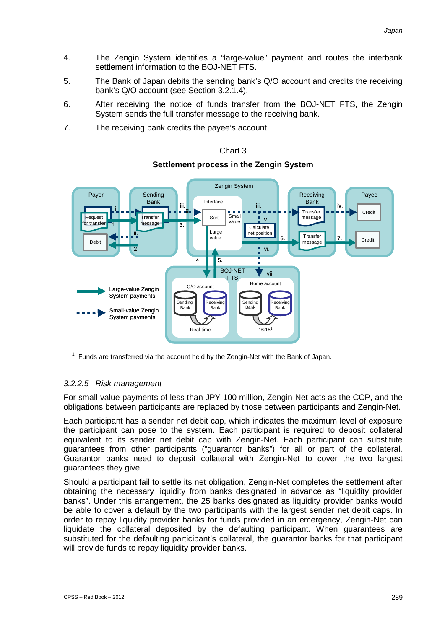- 4. The Zengin System identifies a "large-value" payment and routes the interbank settlement information to the BOJ-NET FTS.
- 5. The Bank of Japan debits the sending bank's Q/O account and credits the receiving bank's Q/O account (see Section 3.2.1.4).
- 6. After receiving the notice of funds transfer from the BOJ-NET FTS, the Zengin System sends the full transfer message to the receiving bank.
- 7. The receiving bank credits the payee's account.



# Chart 3 **Settlement process in the Zengin System**

 $1$  Funds are transferred via the account held by the Zengin-Net with the Bank of Japan.

# *3.2.2.5 Risk management*

For small-value payments of less than JPY 100 million, Zengin-Net acts as the CCP, and the obligations between participants are replaced by those between participants and Zengin-Net.

Each participant has a sender net debit cap, which indicates the maximum level of exposure the participant can pose to the system. Each participant is required to deposit collateral equivalent to its sender net debit cap with Zengin-Net. Each participant can substitute guarantees from other participants ("guarantor banks") for all or part of the collateral. Guarantor banks need to deposit collateral with Zengin-Net to cover the two largest guarantees they give.

Should a participant fail to settle its net obligation, Zengin-Net completes the settlement after obtaining the necessary liquidity from banks designated in advance as "liquidity provider banks". Under this arrangement, the 25 banks designated as liquidity provider banks would be able to cover a default by the two participants with the largest sender net debit caps. In order to repay liquidity provider banks for funds provided in an emergency, Zengin-Net can liquidate the collateral deposited by the defaulting participant. When guarantees are substituted for the defaulting participant's collateral, the guarantor banks for that participant will provide funds to repay liquidity provider banks.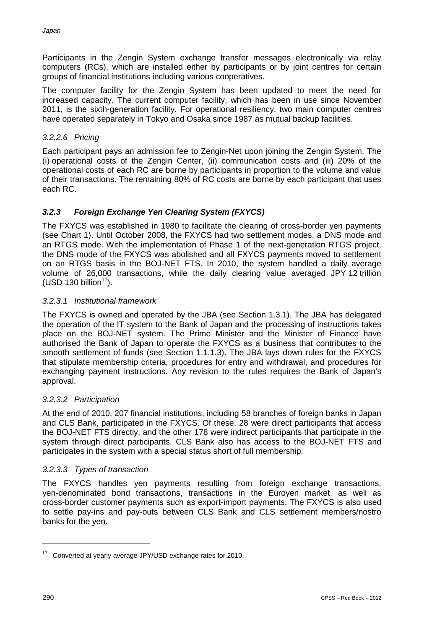Participants in the Zengin System exchange transfer messages electronically via relay computers (RCs), which are installed either by participants or by joint centres for certain groups of financial institutions including various cooperatives.

The computer facility for the Zengin System has been updated to meet the need for increased capacity. The current computer facility, which has been in use since November 2011, is the sixth-generation facility. For operational resiliency, two main computer centres have operated separately in Tokyo and Osaka since 1987 as mutual backup facilities.

# *3.2.2.6 Pricing*

Each participant pays an admission fee to Zengin-Net upon joining the Zengin System. The (i) operational costs of the Zengin Center, (ii) communication costs and (iii) 20% of the operational costs of each RC are borne by participants in proportion to the volume and value of their transactions. The remaining 80% of RC costs are borne by each participant that uses each RC.

# *3.2.3 Foreign Exchange Yen Clearing System (FXYCS)*

The FXYCS was established in 1980 to facilitate the clearing of cross-border yen payments (see Chart 1). Until October 2008, the FXYCS had two settlement modes, a DNS mode and an RTGS mode. With the implementation of Phase 1 of the next-generation RTGS project, the DNS mode of the FXYCS was abolished and all FXYCS payments moved to settlement on an RTGS basis in the BOJ-NET FTS. In 2010, the system handled a daily average volume of 26,000 transactions, while the daily clearing value averaged JPY 12 trillion (USD 130 billion $17$ ).

# *3.2.3.1 Institutional framework*

The FXYCS is owned and operated by the JBA (see Section 1.3.1). The JBA has delegated the operation of the IT system to the Bank of Japan and the processing of instructions takes place on the BOJ-NET system. The Prime Minister and the Minister of Finance have authorised the Bank of Japan to operate the FXYCS as a business that contributes to the smooth settlement of funds (see Section 1.1.1.3). The JBA lays down rules for the FXYCS that stipulate membership criteria, procedures for entry and withdrawal, and procedures for exchanging payment instructions. Any revision to the rules requires the Bank of Japan's approval.

# *3.2.3.2 Participation*

At the end of 2010, 207 financial institutions, including 58 branches of foreign banks in Japan and CLS Bank, participated in the FXYCS. Of these, 28 were direct participants that access the BOJ-NET FTS directly, and the other 178 were indirect participants that participate in the system through direct participants. CLS Bank also has access to the BOJ-NET FTS and participates in the system with a special status short of full membership.

# *3.2.3.3 Types of transaction*

The FXYCS handles yen payments resulting from foreign exchange transactions, yen-denominated bond transactions, transactions in the Euroyen market, as well as cross-border customer payments such as export-import payments. The FXYCS is also used to settle pay-ins and pay-outs between CLS Bank and CLS settlement members/nostro banks for the yen.

<sup>17</sup> Converted at yearly average JPY/USD exchange rates for 2010.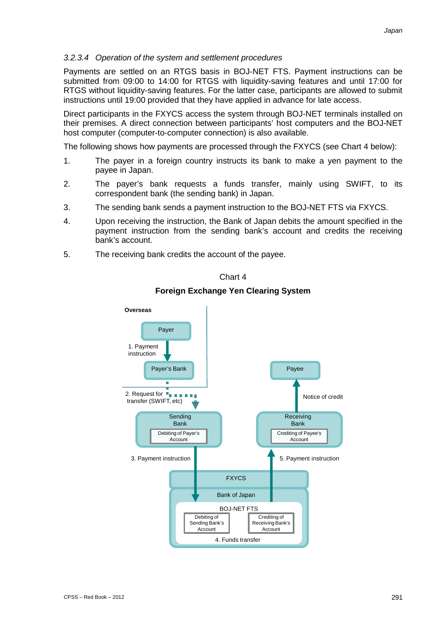#### *3.2.3.4 Operation of the system and settlement procedures*

Payments are settled on an RTGS basis in BOJ-NET FTS. Payment instructions can be submitted from 09:00 to 14:00 for RTGS with liquidity-saving features and until 17:00 for RTGS without liquidity-saving features. For the latter case, participants are allowed to submit instructions until 19:00 provided that they have applied in advance for late access.

Direct participants in the FXYCS access the system through BOJ-NET terminals installed on their premises. A direct connection between participants' host computers and the BOJ-NET host computer (computer-to-computer connection) is also available.

The following shows how payments are processed through the FXYCS (see Chart 4 below):

- 1. The payer in a foreign country instructs its bank to make a yen payment to the payee in Japan.
- 2. The payer's bank requests a funds transfer, mainly using SWIFT, to its correspondent bank (the sending bank) in Japan.
- 3. The sending bank sends a payment instruction to the BOJ-NET FTS via FXYCS.
- 4. Upon receiving the instruction, the Bank of Japan debits the amount specified in the payment instruction from the sending bank's account and credits the receiving bank's account.
- 5. The receiving bank credits the account of the payee.

Chart 4

### **Foreign Exchange Yen Clearing System**

![](_page_28_Figure_12.jpeg)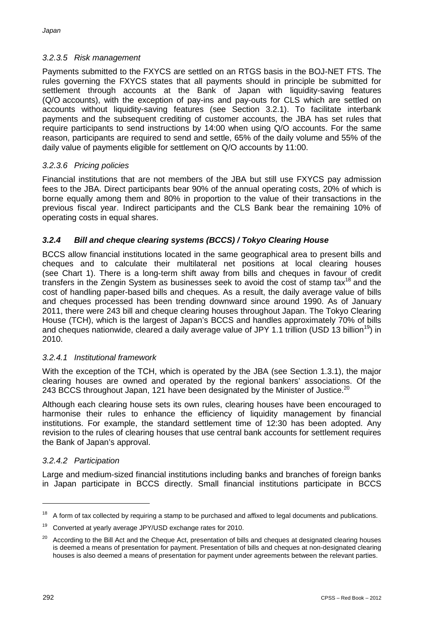# *3.2.3.5 Risk management*

Payments submitted to the FXYCS are settled on an RTGS basis in the BOJ-NET FTS. The rules governing the FXYCS states that all payments should in principle be submitted for settlement through accounts at the Bank of Japan with liquidity-saving features (Q/O accounts), with the exception of pay-ins and pay-outs for CLS which are settled on accounts without liquidity-saving features (see Section 3.2.1). To facilitate interbank payments and the subsequent crediting of customer accounts, the JBA has set rules that require participants to send instructions by 14:00 when using Q/O accounts. For the same reason, participants are required to send and settle, 65% of the daily volume and 55% of the daily value of payments eligible for settlement on Q/O accounts by 11:00.

# *3.2.3.6 Pricing policies*

Financial institutions that are not members of the JBA but still use FXYCS pay admission fees to the JBA. Direct participants bear 90% of the annual operating costs, 20% of which is borne equally among them and 80% in proportion to the value of their transactions in the previous fiscal year. Indirect participants and the CLS Bank bear the remaining 10% of operating costs in equal shares.

# *3.2.4 Bill and cheque clearing systems (BCCS) / Tokyo Clearing House*

BCCS allow financial institutions located in the same geographical area to present bills and cheques and to calculate their multilateral net positions at local clearing houses (see Chart 1). There is a long-term shift away from bills and cheques in favour of credit transfers in the Zengin System as businesses seek to avoid the cost of stamp tax $18$  and the cost of handling paper-based bills and cheques. As a result, the daily average value of bills and cheques processed has been trending downward since around 1990. As of January 2011, there were 243 bill and cheque clearing houses throughout Japan. The Tokyo Clearing House (TCH), which is the largest of Japan's BCCS and handles approximately 70% of bills and cheques nationwide, cleared a daily average value of JPY 1.1 trillion (USD 13 billion<sup>19</sup>) in 2010.

# *3.2.4.1 Institutional framework*

With the exception of the TCH, which is operated by the JBA (see Section 1.3.1), the major clearing houses are owned and operated by the regional bankers' associations. Of the 243 BCCS throughout Japan, 121 have been designated by the Minister of Justice.<sup>20</sup>

Although each clearing house sets its own rules, clearing houses have been encouraged to harmonise their rules to enhance the efficiency of liquidity management by financial institutions. For example, the standard settlement time of 12:30 has been adopted. Any revision to the rules of clearing houses that use central bank accounts for settlement requires the Bank of Japan's approval.

# *3.2.4.2 Participation*

Large and medium-sized financial institutions including banks and branches of foreign banks in Japan participate in BCCS directly. Small financial institutions participate in BCCS

<sup>18</sup> A form of tax collected by requiring a stamp to be purchased and affixed to legal documents and publications.

<sup>&</sup>lt;sup>19</sup> Converted at yearly average JPY/USD exchange rates for 2010.

<sup>&</sup>lt;sup>20</sup> According to the Bill Act and the Cheque Act, presentation of bills and cheques at designated clearing houses is deemed a means of presentation for payment. Presentation of bills and cheques at non-designated clearing houses is also deemed a means of presentation for payment under agreements between the relevant parties.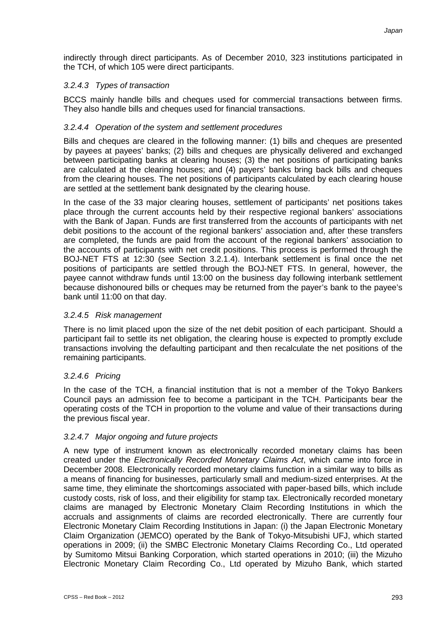indirectly through direct participants. As of December 2010, 323 institutions participated in the TCH, of which 105 were direct participants.

# *3.2.4.3 Types of transaction*

BCCS mainly handle bills and cheques used for commercial transactions between firms. They also handle bills and cheques used for financial transactions.

# *3.2.4.4 Operation of the system and settlement procedures*

Bills and cheques are cleared in the following manner: (1) bills and cheques are presented by payees at payees' banks; (2) bills and cheques are physically delivered and exchanged between participating banks at clearing houses; (3) the net positions of participating banks are calculated at the clearing houses; and (4) payers' banks bring back bills and cheques from the clearing houses. The net positions of participants calculated by each clearing house are settled at the settlement bank designated by the clearing house.

In the case of the 33 major clearing houses, settlement of participants' net positions takes place through the current accounts held by their respective regional bankers' associations with the Bank of Japan. Funds are first transferred from the accounts of participants with net debit positions to the account of the regional bankers' association and, after these transfers are completed, the funds are paid from the account of the regional bankers' association to the accounts of participants with net credit positions. This process is performed through the BOJ-NET FTS at 12:30 (see Section 3.2.1.4). Interbank settlement is final once the net positions of participants are settled through the BOJ-NET FTS. In general, however, the payee cannot withdraw funds until 13:00 on the business day following interbank settlement because dishonoured bills or cheques may be returned from the payer's bank to the payee's bank until 11:00 on that day.

# *3.2.4.5 Risk management*

There is no limit placed upon the size of the net debit position of each participant. Should a participant fail to settle its net obligation, the clearing house is expected to promptly exclude transactions involving the defaulting participant and then recalculate the net positions of the remaining participants.

# *3.2.4.6 Pricing*

In the case of the TCH, a financial institution that is not a member of the Tokyo Bankers Council pays an admission fee to become a participant in the TCH. Participants bear the operating costs of the TCH in proportion to the volume and value of their transactions during the previous fiscal year.

# *3.2.4.7 Major ongoing and future projects*

A new type of instrument known as electronically recorded monetary claims has been created under the *Electronically Recorded Monetary Claims Act*, which came into force in December 2008. Electronically recorded monetary claims function in a similar way to bills as a means of financing for businesses, particularly small and medium-sized enterprises. At the same time, they eliminate the shortcomings associated with paper-based bills, which include custody costs, risk of loss, and their eligibility for stamp tax. Electronically recorded monetary claims are managed by Electronic Monetary Claim Recording Institutions in which the accruals and assignments of claims are recorded electronically. There are currently four Electronic Monetary Claim Recording Institutions in Japan: (i) the Japan Electronic Monetary Claim Organization (JEMCO) operated by the Bank of Tokyo-Mitsubishi UFJ, which started operations in 2009; (ii) the SMBC Electronic Monetary Claims Recording Co., Ltd operated by Sumitomo Mitsui Banking Corporation, which started operations in 2010; (iii) the Mizuho Electronic Monetary Claim Recording Co., Ltd operated by Mizuho Bank, which started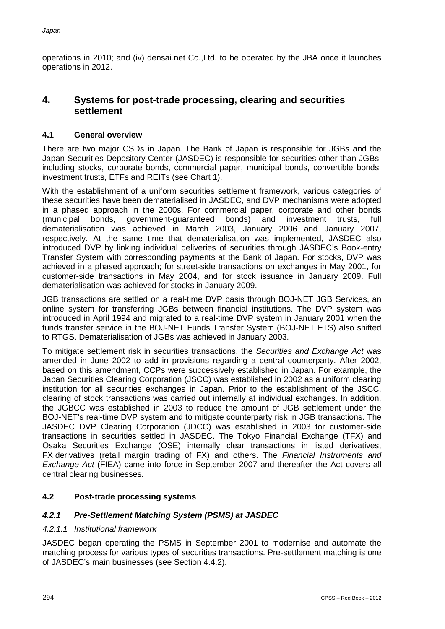operations in 2010; and (iv) densai.net Co.,Ltd. to be operated by the JBA once it launches operations in 2012.

# **4. Systems for post-trade processing, clearing and securities settlement**

# **4.1 General overview**

There are two major CSDs in Japan. The Bank of Japan is responsible for JGBs and the Japan Securities Depository Center (JASDEC) is responsible for securities other than JGBs, including stocks, corporate bonds, commercial paper, municipal bonds, convertible bonds, investment trusts, ETFs and REITs (see Chart 1).

With the establishment of a uniform securities settlement framework, various categories of these securities have been dematerialised in JASDEC, and DVP mechanisms were adopted in a phased approach in the 2000s. For commercial paper, corporate and other bonds<br>(municipal bonds, government-guaranteed bonds) and investment trusts, full (municipal bonds, government-guaranteed bonds) and investment trusts, full dematerialisation was achieved in March 2003, January 2006 and January 2007, respectively. At the same time that dematerialisation was implemented, JASDEC also introduced DVP by linking individual deliveries of securities through JASDEC's Book-entry Transfer System with corresponding payments at the Bank of Japan. For stocks, DVP was achieved in a phased approach; for street-side transactions on exchanges in May 2001, for customer-side transactions in May 2004, and for stock issuance in January 2009. Full dematerialisation was achieved for stocks in January 2009.

JGB transactions are settled on a real-time DVP basis through BOJ-NET JGB Services, an online system for transferring JGBs between financial institutions. The DVP system was introduced in April 1994 and migrated to a real-time DVP system in January 2001 when the funds transfer service in the BOJ-NET Funds Transfer System (BOJ-NET FTS) also shifted to RTGS. Dematerialisation of JGBs was achieved in January 2003.

To mitigate settlement risk in securities transactions, the *Securities and Exchange Act* was amended in June 2002 to add in provisions regarding a central counterparty. After 2002, based on this amendment, CCPs were successively established in Japan. For example, the Japan Securities Clearing Corporation (JSCC) was established in 2002 as a uniform clearing institution for all securities exchanges in Japan. Prior to the establishment of the JSCC, clearing of stock transactions was carried out internally at individual exchanges. In addition, the JGBCC was established in 2003 to reduce the amount of JGB settlement under the BOJ-NET's real-time DVP system and to mitigate counterparty risk in JGB transactions. The JASDEC DVP Clearing Corporation (JDCC) was established in 2003 for customer-side transactions in securities settled in JASDEC. The Tokyo Financial Exchange (TFX) and Osaka Securities Exchange (OSE) internally clear transactions in listed derivatives, FX derivatives (retail margin trading of FX) and others. The *Financial Instruments and Exchange Act* (FIEA) came into force in September 2007 and thereafter the Act covers all central clearing businesses.

# **4.2 Post-trade processing systems**

# *4.2.1 Pre-Settlement Matching System (PSMS) at JASDEC*

# *4.2.1.1 Institutional framework*

JASDEC began operating the PSMS in September 2001 to modernise and automate the matching process for various types of securities transactions. Pre-settlement matching is one of JASDEC's main businesses (see Section 4.4.2).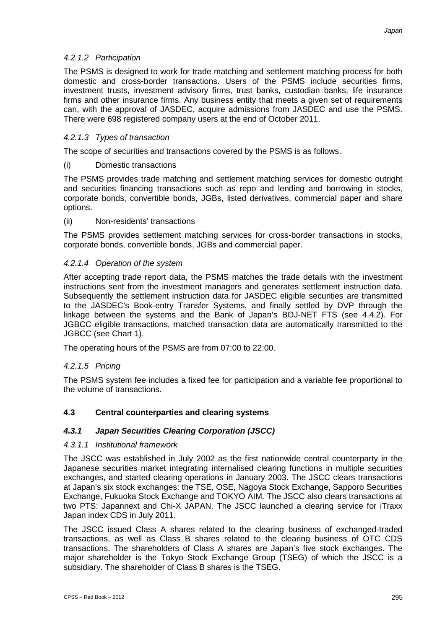### *4.2.1.2 Participation*

The PSMS is designed to work for trade matching and settlement matching process for both domestic and cross-border transactions. Users of the PSMS include securities firms, investment trusts, investment advisory firms, trust banks, custodian banks, life insurance firms and other insurance firms. Any business entity that meets a given set of requirements can, with the approval of JASDEC, acquire admissions from JASDEC and use the PSMS. There were 698 registered company users at the end of October 2011.

### *4.2.1.3 Types of transaction*

The scope of securities and transactions covered by the PSMS is as follows.

#### (i) Domestic transactions

The PSMS provides trade matching and settlement matching services for domestic outright and securities financing transactions such as repo and lending and borrowing in stocks, corporate bonds, convertible bonds, JGBs, listed derivatives, commercial paper and share options.

#### (ii) Non-residents' transactions

The PSMS provides settlement matching services for cross-border transactions in stocks, corporate bonds, convertible bonds, JGBs and commercial paper.

#### *4.2.1.4 Operation of the system*

After accepting trade report data, the PSMS matches the trade details with the investment instructions sent from the investment managers and generates settlement instruction data. Subsequently the settlement instruction data for JASDEC eligible securities are transmitted to the JASDEC's Book-entry Transfer Systems, and finally settled by DVP through the linkage between the systems and the Bank of Japan's BOJ-NET FTS (see 4.4.2). For JGBCC eligible transactions, matched transaction data are automatically transmitted to the JGBCC (see Chart 1).

The operating hours of the PSMS are from 07:00 to 22:00.

# *4.2.1.5 Pricing*

The PSMS system fee includes a fixed fee for participation and a variable fee proportional to the volume of transactions.

# **4.3 Central counterparties and clearing systems**

# *4.3.1 Japan Securities Clearing Corporation (JSCC)*

#### *4.3.1.1 Institutional framework*

The JSCC was established in July 2002 as the first nationwide central counterparty in the Japanese securities market integrating internalised clearing functions in multiple securities exchanges, and started clearing operations in January 2003. The JSCC clears transactions at Japan's six stock exchanges: the TSE, OSE, Nagoya Stock Exchange, Sapporo Securities Exchange, Fukuoka Stock Exchange and TOKYO AIM. The JSCC also clears transactions at two PTS: Japannext and Chi-X JAPAN. The JSCC launched a clearing service for iTraxx Japan index CDS in July 2011.

The JSCC issued Class A shares related to the clearing business of exchanged-traded transactions, as well as Class B shares related to the clearing business of OTC CDS transactions. The shareholders of Class A shares are Japan's five stock exchanges. The major shareholder is the Tokyo Stock Exchange Group (TSEG) of which the JSCC is a subsidiary. The shareholder of Class B shares is the TSEG.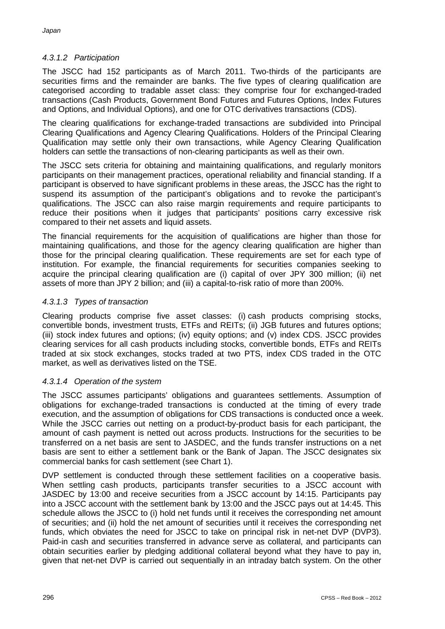# *4.3.1.2 Participation*

The JSCC had 152 participants as of March 2011. Two-thirds of the participants are securities firms and the remainder are banks. The five types of clearing qualification are categorised according to tradable asset class: they comprise four for exchanged-traded transactions (Cash Products, Government Bond Futures and Futures Options, Index Futures and Options, and Individual Options), and one for OTC derivatives transactions (CDS).

The clearing qualifications for exchange-traded transactions are subdivided into Principal Clearing Qualifications and Agency Clearing Qualifications. Holders of the Principal Clearing Qualification may settle only their own transactions, while Agency Clearing Qualification holders can settle the transactions of non-clearing participants as well as their own.

The JSCC sets criteria for obtaining and maintaining qualifications, and regularly monitors participants on their management practices, operational reliability and financial standing. If a participant is observed to have significant problems in these areas, the JSCC has the right to suspend its assumption of the participant's obligations and to revoke the participant's qualifications. The JSCC can also raise margin requirements and require participants to reduce their positions when it judges that participants' positions carry excessive risk compared to their net assets and liquid assets.

The financial requirements for the acquisition of qualifications are higher than those for maintaining qualifications, and those for the agency clearing qualification are higher than those for the principal clearing qualification. These requirements are set for each type of institution. For example, the financial requirements for securities companies seeking to acquire the principal clearing qualification are (i) capital of over JPY 300 million; (ii) net assets of more than JPY 2 billion; and (iii) a capital-to-risk ratio of more than 200%.

# *4.3.1.3 Types of transaction*

Clearing products comprise five asset classes: (i) cash products comprising stocks, convertible bonds, investment trusts, ETFs and REITs; (ii) JGB futures and futures options; (iii) stock index futures and options; (iv) equity options; and (v) index CDS. JSCC provides clearing services for all cash products including stocks, convertible bonds, ETFs and REITs traded at six stock exchanges, stocks traded at two PTS, index CDS traded in the OTC market, as well as derivatives listed on the TSE.

# *4.3.1.4 Operation of the system*

The JSCC assumes participants' obligations and guarantees settlements. Assumption of obligations for exchange-traded transactions is conducted at the timing of every trade execution, and the assumption of obligations for CDS transactions is conducted once a week. While the JSCC carries out netting on a product-by-product basis for each participant, the amount of cash payment is netted out across products. Instructions for the securities to be transferred on a net basis are sent to JASDEC, and the funds transfer instructions on a net basis are sent to either a settlement bank or the Bank of Japan. The JSCC designates six commercial banks for cash settlement (see Chart 1).

DVP settlement is conducted through these settlement facilities on a cooperative basis. When settling cash products, participants transfer securities to a JSCC account with JASDEC by 13:00 and receive securities from a JSCC account by 14:15. Participants pay into a JSCC account with the settlement bank by 13:00 and the JSCC pays out at 14:45. This schedule allows the JSCC to (i) hold net funds until it receives the corresponding net amount of securities; and (ii) hold the net amount of securities until it receives the corresponding net funds, which obviates the need for JSCC to take on principal risk in net-net DVP (DVP3). Paid-in cash and securities transferred in advance serve as collateral, and participants can obtain securities earlier by pledging additional collateral beyond what they have to pay in, given that net-net DVP is carried out sequentially in an intraday batch system. On the other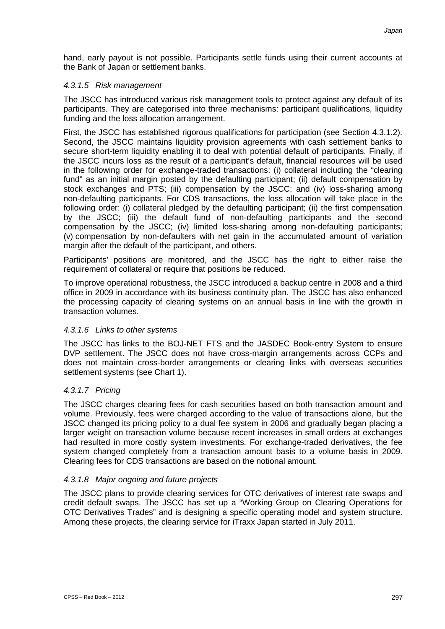hand, early payout is not possible. Participants settle funds using their current accounts at the Bank of Japan or settlement banks.

# *4.3.1.5 Risk management*

The JSCC has introduced various risk management tools to protect against any default of its participants. They are categorised into three mechanisms: participant qualifications, liquidity funding and the loss allocation arrangement.

First, the JSCC has established rigorous qualifications for participation (see Section 4.3.1.2). Second, the JSCC maintains liquidity provision agreements with cash settlement banks to secure short-term liquidity enabling it to deal with potential default of participants. Finally, if the JSCC incurs loss as the result of a participant's default, financial resources will be used in the following order for exchange-traded transactions: (i) collateral including the "clearing fund" as an initial margin posted by the defaulting participant; (ii) default compensation by stock exchanges and PTS; (iii) compensation by the JSCC; and (iv) loss-sharing among non-defaulting participants. For CDS transactions, the loss allocation will take place in the following order: (i) collateral pledged by the defaulting participant; (ii) the first compensation by the JSCC; (iii) the default fund of non-defaulting participants and the second compensation by the JSCC; (iv) limited loss-sharing among non-defaulting participants; (v) compensation by non-defaulters with net gain in the accumulated amount of variation margin after the default of the participant, and others.

Participants' positions are monitored, and the JSCC has the right to either raise the requirement of collateral or require that positions be reduced.

To improve operational robustness, the JSCC introduced a backup centre in 2008 and a third office in 2009 in accordance with its business continuity plan. The JSCC has also enhanced the processing capacity of clearing systems on an annual basis in line with the growth in transaction volumes.

#### *4.3.1.6 Links to other systems*

The JSCC has links to the BOJ-NET FTS and the JASDEC Book-entry System to ensure DVP settlement. The JSCC does not have cross-margin arrangements across CCPs and does not maintain cross-border arrangements or clearing links with overseas securities settlement systems (see Chart 1).

# *4.3.1.7 Pricing*

The JSCC charges clearing fees for cash securities based on both transaction amount and volume. Previously, fees were charged according to the value of transactions alone, but the JSCC changed its pricing policy to a dual fee system in 2006 and gradually began placing a larger weight on transaction volume because recent increases in small orders at exchanges had resulted in more costly system investments. For exchange-traded derivatives, the fee system changed completely from a transaction amount basis to a volume basis in 2009. Clearing fees for CDS transactions are based on the notional amount.

# *4.3.1.8 Major ongoing and future projects*

The JSCC plans to provide clearing services for OTC derivatives of interest rate swaps and credit default swaps. The JSCC has set up a "Working Group on Clearing Operations for OTC Derivatives Trades" and is designing a specific operating model and system structure. Among these projects, the clearing service for iTraxx Japan started in July 2011.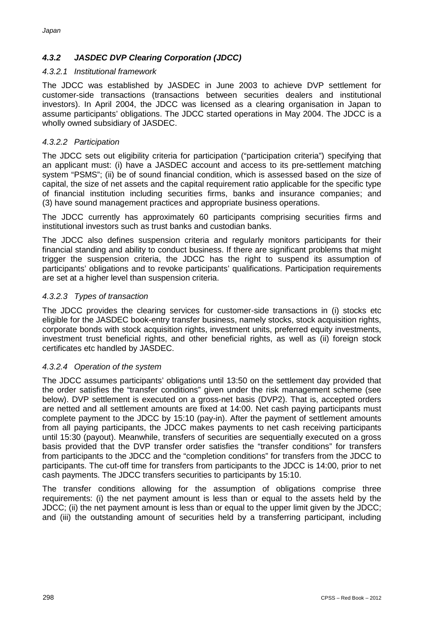# *4.3.2 JASDEC DVP Clearing Corporation (JDCC)*

# *4.3.2.1 Institutional framework*

The JDCC was established by JASDEC in June 2003 to achieve DVP settlement for customer-side transactions (transactions between securities dealers and institutional investors). In April 2004, the JDCC was licensed as a clearing organisation in Japan to assume participants' obligations. The JDCC started operations in May 2004. The JDCC is a wholly owned subsidiary of JASDEC.

# *4.3.2.2 Participation*

The JDCC sets out eligibility criteria for participation ("participation criteria") specifying that an applicant must: (i) have a JASDEC account and access to its pre-settlement matching system "PSMS"; (ii) be of sound financial condition, which is assessed based on the size of capital, the size of net assets and the capital requirement ratio applicable for the specific type of financial institution including securities firms, banks and insurance companies; and (3) have sound management practices and appropriate business operations.

The JDCC currently has approximately 60 participants comprising securities firms and institutional investors such as trust banks and custodian banks.

The JDCC also defines suspension criteria and regularly monitors participants for their financial standing and ability to conduct business. If there are significant problems that might trigger the suspension criteria, the JDCC has the right to suspend its assumption of participants' obligations and to revoke participants' qualifications. Participation requirements are set at a higher level than suspension criteria.

# *4.3.2.3 Types of transaction*

The JDCC provides the clearing services for customer-side transactions in (i) stocks etc eligible for the JASDEC book-entry transfer business, namely stocks, stock acquisition rights, corporate bonds with stock acquisition rights, investment units, preferred equity investments, investment trust beneficial rights, and other beneficial rights, as well as (ii) foreign stock certificates etc handled by JASDEC.

# *4.3.2.4 Operation of the system*

The JDCC assumes participants' obligations until 13:50 on the settlement day provided that the order satisfies the "transfer conditions" given under the risk management scheme (see below). DVP settlement is executed on a gross-net basis (DVP2). That is, accepted orders are netted and all settlement amounts are fixed at 14:00. Net cash paying participants must complete payment to the JDCC by 15:10 (pay-in). After the payment of settlement amounts from all paying participants, the JDCC makes payments to net cash receiving participants until 15:30 (payout). Meanwhile, transfers of securities are sequentially executed on a gross basis provided that the DVP transfer order satisfies the "transfer conditions" for transfers from participants to the JDCC and the "completion conditions" for transfers from the JDCC to participants. The cut-off time for transfers from participants to the JDCC is 14:00, prior to net cash payments. The JDCC transfers securities to participants by 15:10.

The transfer conditions allowing for the assumption of obligations comprise three requirements: (i) the net payment amount is less than or equal to the assets held by the JDCC; (ii) the net payment amount is less than or equal to the upper limit given by the JDCC; and (iii) the outstanding amount of securities held by a transferring participant, including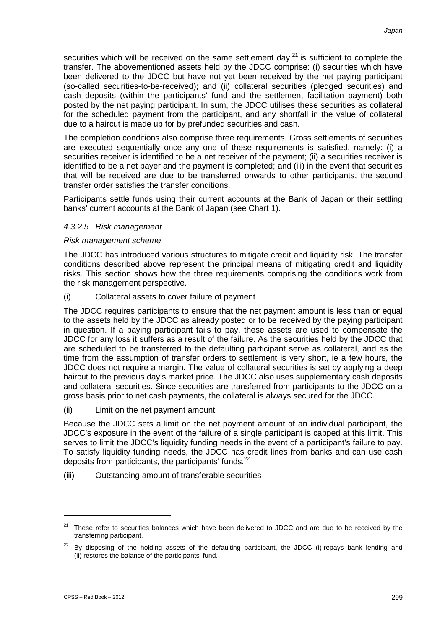securities which will be received on the same settlement day,<sup>21</sup> is sufficient to complete the transfer. The abovementioned assets held by the JDCC comprise: (i) securities which have been delivered to the JDCC but have not yet been received by the net paying participant (so-called securities-to-be-received); and (ii) collateral securities (pledged securities) and cash deposits (within the participants' fund and the settlement facilitation payment) both posted by the net paying participant. In sum, the JDCC utilises these securities as collateral for the scheduled payment from the participant, and any shortfall in the value of collateral due to a haircut is made up for by prefunded securities and cash.

The completion conditions also comprise three requirements. Gross settlements of securities are executed sequentially once any one of these requirements is satisfied, namely: (i) a securities receiver is identified to be a net receiver of the payment; (ii) a securities receiver is identified to be a net payer and the payment is completed; and (iii) in the event that securities that will be received are due to be transferred onwards to other participants, the second transfer order satisfies the transfer conditions.

Participants settle funds using their current accounts at the Bank of Japan or their settling banks' current accounts at the Bank of Japan (see Chart 1).

#### *4.3.2.5 Risk management*

#### *Risk management scheme*

The JDCC has introduced various structures to mitigate credit and liquidity risk. The transfer conditions described above represent the principal means of mitigating credit and liquidity risks. This section shows how the three requirements comprising the conditions work from the risk management perspective.

(i) Collateral assets to cover failure of payment

The JDCC requires participants to ensure that the net payment amount is less than or equal to the assets held by the JDCC as already posted or to be received by the paying participant in question. If a paying participant fails to pay, these assets are used to compensate the JDCC for any loss it suffers as a result of the failure. As the securities held by the JDCC that are scheduled to be transferred to the defaulting participant serve as collateral, and as the time from the assumption of transfer orders to settlement is very short, ie a few hours, the JDCC does not require a margin. The value of collateral securities is set by applying a deep haircut to the previous day's market price. The JDCC also uses supplementary cash deposits and collateral securities. Since securities are transferred from participants to the JDCC on a gross basis prior to net cash payments, the collateral is always secured for the JDCC.

(ii) Limit on the net payment amount

Because the JDCC sets a limit on the net payment amount of an individual participant, the JDCC's exposure in the event of the failure of a single participant is capped at this limit. This serves to limit the JDCC's liquidity funding needs in the event of a participant's failure to pay. To satisfy liquidity funding needs, the JDCC has credit lines from banks and can use cash deposits from participants, the participants' funds.<sup>22</sup>

(iii) Outstanding amount of transferable securities

 $21$  These refer to securities balances which have been delivered to JDCC and are due to be received by the transferring participant.

 $22$  By disposing of the holding assets of the defaulting participant, the JDCC (i) repays bank lending and (ii) restores the balance of the participants' fund.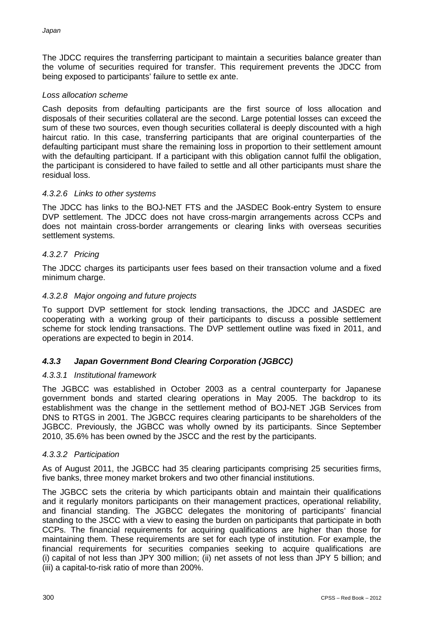The JDCC requires the transferring participant to maintain a securities balance greater than the volume of securities required for transfer. This requirement prevents the JDCC from being exposed to participants' failure to settle ex ante.

# *Loss allocation scheme*

Cash deposits from defaulting participants are the first source of loss allocation and disposals of their securities collateral are the second. Large potential losses can exceed the sum of these two sources, even though securities collateral is deeply discounted with a high haircut ratio. In this case, transferring participants that are original counterparties of the defaulting participant must share the remaining loss in proportion to their settlement amount with the defaulting participant. If a participant with this obligation cannot fulfil the obligation, the participant is considered to have failed to settle and all other participants must share the residual loss.

#### *4.3.2.6 Links to other systems*

The JDCC has links to the BOJ-NET FTS and the JASDEC Book-entry System to ensure DVP settlement. The JDCC does not have cross-margin arrangements across CCPs and does not maintain cross-border arrangements or clearing links with overseas securities settlement systems.

#### *4.3.2.7 Pricing*

The JDCC charges its participants user fees based on their transaction volume and a fixed minimum charge.

#### *4.3.2.8 Major ongoing and future projects*

To support DVP settlement for stock lending transactions, the JDCC and JASDEC are cooperating with a working group of their participants to discuss a possible settlement scheme for stock lending transactions. The DVP settlement outline was fixed in 2011, and operations are expected to begin in 2014.

# *4.3.3 Japan Government Bond Clearing Corporation (JGBCC)*

#### *4.3.3.1 Institutional framework*

The JGBCC was established in October 2003 as a central counterparty for Japanese government bonds and started clearing operations in May 2005. The backdrop to its establishment was the change in the settlement method of BOJ-NET JGB Services from DNS to RTGS in 2001. The JGBCC requires clearing participants to be shareholders of the JGBCC. Previously, the JGBCC was wholly owned by its participants. Since September 2010, 35.6% has been owned by the JSCC and the rest by the participants.

#### *4.3.3.2 Participation*

As of August 2011, the JGBCC had 35 clearing participants comprising 25 securities firms, five banks, three money market brokers and two other financial institutions.

The JGBCC sets the criteria by which participants obtain and maintain their qualifications and it regularly monitors participants on their management practices, operational reliability, and financial standing. The JGBCC delegates the monitoring of participants' financial standing to the JSCC with a view to easing the burden on participants that participate in both CCPs. The financial requirements for acquiring qualifications are higher than those for maintaining them. These requirements are set for each type of institution. For example, the financial requirements for securities companies seeking to acquire qualifications are (i) capital of not less than JPY 300 million; (ii) net assets of not less than JPY 5 billion; and (iii) a capital-to-risk ratio of more than 200%.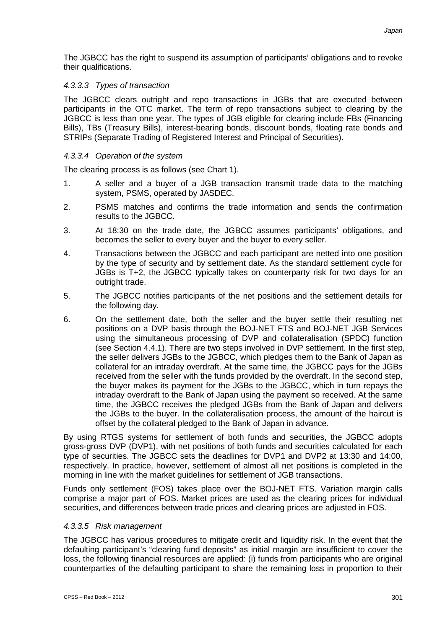The JGBCC has the right to suspend its assumption of participants' obligations and to revoke their qualifications.

# *4.3.3.3 Types of transaction*

The JGBCC clears outright and repo transactions in JGBs that are executed between participants in the OTC market. The term of repo transactions subject to clearing by the JGBCC is less than one year. The types of JGB eligible for clearing include FBs (Financing Bills), TBs (Treasury Bills), interest-bearing bonds, discount bonds, floating rate bonds and STRIPs (Separate Trading of Registered Interest and Principal of Securities).

# *4.3.3.4 Operation of the system*

The clearing process is as follows (see Chart 1).

- 1. A seller and a buyer of a JGB transaction transmit trade data to the matching system, PSMS, operated by JASDEC.
- 2. PSMS matches and confirms the trade information and sends the confirmation results to the JGBCC.
- 3. At 18:30 on the trade date, the JGBCC assumes participants' obligations, and becomes the seller to every buyer and the buyer to every seller.
- 4. Transactions between the JGBCC and each participant are netted into one position by the type of security and by settlement date. As the standard settlement cycle for JGBs is T+2, the JGBCC typically takes on counterparty risk for two days for an outright trade.
- 5. The JGBCC notifies participants of the net positions and the settlement details for the following day.
- 6. On the settlement date, both the seller and the buyer settle their resulting net positions on a DVP basis through the BOJ-NET FTS and BOJ-NET JGB Services using the simultaneous processing of DVP and collateralisation (SPDC) function (see Section 4.4.1). There are two steps involved in DVP settlement. In the first step, the seller delivers JGBs to the JGBCC, which pledges them to the Bank of Japan as collateral for an intraday overdraft. At the same time, the JGBCC pays for the JGBs received from the seller with the funds provided by the overdraft. In the second step, the buyer makes its payment for the JGBs to the JGBCC, which in turn repays the intraday overdraft to the Bank of Japan using the payment so received. At the same time, the JGBCC receives the pledged JGBs from the Bank of Japan and delivers the JGBs to the buyer. In the collateralisation process, the amount of the haircut is offset by the collateral pledged to the Bank of Japan in advance.

By using RTGS systems for settlement of both funds and securities, the JGBCC adopts gross-gross DVP (DVP1), with net positions of both funds and securities calculated for each type of securities. The JGBCC sets the deadlines for DVP1 and DVP2 at 13:30 and 14:00, respectively. In practice, however, settlement of almost all net positions is completed in the morning in line with the market guidelines for settlement of JGB transactions.

Funds only settlement (FOS) takes place over the BOJ-NET FTS. Variation margin calls comprise a major part of FOS. Market prices are used as the clearing prices for individual securities, and differences between trade prices and clearing prices are adjusted in FOS.

# *4.3.3.5 Risk management*

The JGBCC has various procedures to mitigate credit and liquidity risk. In the event that the defaulting participant's "clearing fund deposits" as initial margin are insufficient to cover the loss, the following financial resources are applied: (i) funds from participants who are original counterparties of the defaulting participant to share the remaining loss in proportion to their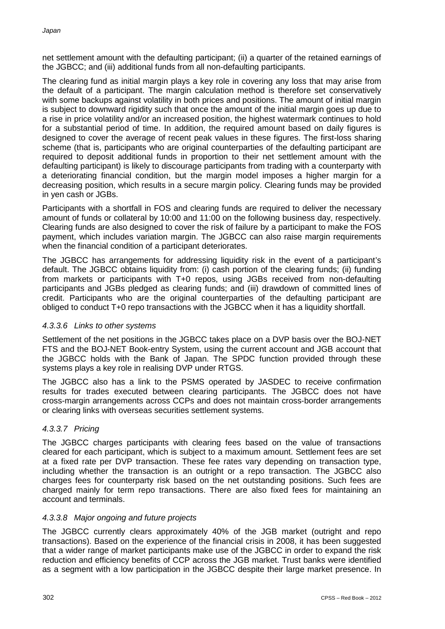net settlement amount with the defaulting participant; (ii) a quarter of the retained earnings of the JGBCC; and (iii) additional funds from all non-defaulting participants.

The clearing fund as initial margin plays a key role in covering any loss that may arise from the default of a participant. The margin calculation method is therefore set conservatively with some backups against volatility in both prices and positions. The amount of initial margin is subject to downward rigidity such that once the amount of the initial margin goes up due to a rise in price volatility and/or an increased position, the highest watermark continues to hold for a substantial period of time. In addition, the required amount based on daily figures is designed to cover the average of recent peak values in these figures. The first-loss sharing scheme (that is, participants who are original counterparties of the defaulting participant are required to deposit additional funds in proportion to their net settlement amount with the defaulting participant) is likely to discourage participants from trading with a counterparty with a deteriorating financial condition, but the margin model imposes a higher margin for a decreasing position, which results in a secure margin policy. Clearing funds may be provided in yen cash or JGBs.

Participants with a shortfall in FOS and clearing funds are required to deliver the necessary amount of funds or collateral by 10:00 and 11:00 on the following business day, respectively. Clearing funds are also designed to cover the risk of failure by a participant to make the FOS payment, which includes variation margin. The JGBCC can also raise margin requirements when the financial condition of a participant deteriorates.

The JGBCC has arrangements for addressing liquidity risk in the event of a participant's default. The JGBCC obtains liquidity from: (i) cash portion of the clearing funds; (ii) funding from markets or participants with T+0 repos, using JGBs received from non-defaulting participants and JGBs pledged as clearing funds; and (iii) drawdown of committed lines of credit. Participants who are the original counterparties of the defaulting participant are obliged to conduct T+0 repo transactions with the JGBCC when it has a liquidity shortfall.

# *4.3.3.6 Links to other systems*

Settlement of the net positions in the JGBCC takes place on a DVP basis over the BOJ-NET FTS and the BOJ-NET Book-entry System, using the current account and JGB account that the JGBCC holds with the Bank of Japan. The SPDC function provided through these systems plays a key role in realising DVP under RTGS.

The JGBCC also has a link to the PSMS operated by JASDEC to receive confirmation results for trades executed between clearing participants. The JGBCC does not have cross-margin arrangements across CCPs and does not maintain cross-border arrangements or clearing links with overseas securities settlement systems.

# *4.3.3.7 Pricing*

The JGBCC charges participants with clearing fees based on the value of transactions cleared for each participant, which is subject to a maximum amount. Settlement fees are set at a fixed rate per DVP transaction. These fee rates vary depending on transaction type, including whether the transaction is an outright or a repo transaction. The JGBCC also charges fees for counterparty risk based on the net outstanding positions. Such fees are charged mainly for term repo transactions. There are also fixed fees for maintaining an account and terminals.

# *4.3.3.8 Major ongoing and future projects*

The JGBCC currently clears approximately 40% of the JGB market (outright and repo transactions). Based on the experience of the financial crisis in 2008, it has been suggested that a wider range of market participants make use of the JGBCC in order to expand the risk reduction and efficiency benefits of CCP across the JGB market. Trust banks were identified as a segment with a low participation in the JGBCC despite their large market presence. In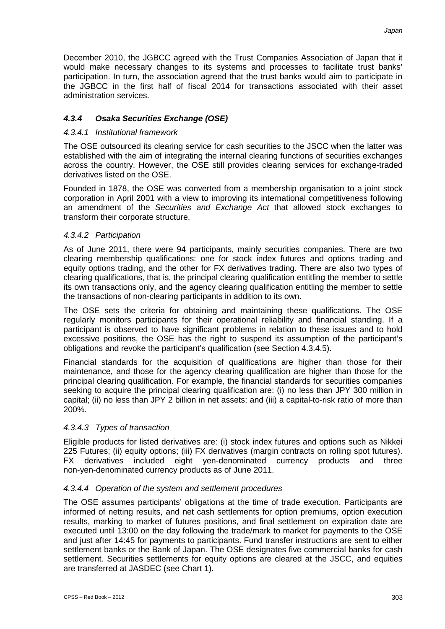December 2010, the JGBCC agreed with the Trust Companies Association of Japan that it would make necessary changes to its systems and processes to facilitate trust banks' participation. In turn, the association agreed that the trust banks would aim to participate in the JGBCC in the first half of fiscal 2014 for transactions associated with their asset administration services.

# *4.3.4 Osaka Securities Exchange (OSE)*

# *4.3.4.1 Institutional framework*

The OSE outsourced its clearing service for cash securities to the JSCC when the latter was established with the aim of integrating the internal clearing functions of securities exchanges across the country. However, the OSE still provides clearing services for exchange-traded derivatives listed on the OSE.

Founded in 1878, the OSE was converted from a membership organisation to a joint stock corporation in April 2001 with a view to improving its international competitiveness following an amendment of the *Securities and Exchange Act* that allowed stock exchanges to transform their corporate structure.

# *4.3.4.2 Participation*

As of June 2011, there were 94 participants, mainly securities companies. There are two clearing membership qualifications: one for stock index futures and options trading and equity options trading, and the other for FX derivatives trading. There are also two types of clearing qualifications, that is, the principal clearing qualification entitling the member to settle its own transactions only, and the agency clearing qualification entitling the member to settle the transactions of non-clearing participants in addition to its own.

The OSE sets the criteria for obtaining and maintaining these qualifications. The OSE regularly monitors participants for their operational reliability and financial standing. If a participant is observed to have significant problems in relation to these issues and to hold excessive positions, the OSE has the right to suspend its assumption of the participant's obligations and revoke the participant's qualification (see Section 4.3.4.5).

Financial standards for the acquisition of qualifications are higher than those for their maintenance, and those for the agency clearing qualification are higher than those for the principal clearing qualification. For example, the financial standards for securities companies seeking to acquire the principal clearing qualification are: (i) no less than JPY 300 million in capital; (ii) no less than JPY 2 billion in net assets; and (iii) a capital-to-risk ratio of more than 200%.

# *4.3.4.3 Types of transaction*

Eligible products for listed derivatives are: (i) stock index futures and options such as Nikkei 225 Futures; (ii) equity options; (iii) FX derivatives (margin contracts on rolling spot futures). FX derivatives included eight yen-denominated currency products and three non-yen-denominated currency products as of June 2011.

# *4.3.4.4 Operation of the system and settlement procedures*

The OSE assumes participants' obligations at the time of trade execution. Participants are informed of netting results, and net cash settlements for option premiums, option execution results, marking to market of futures positions, and final settlement on expiration date are executed until 13:00 on the day following the trade/mark to market for payments to the OSE and just after 14:45 for payments to participants. Fund transfer instructions are sent to either settlement banks or the Bank of Japan. The OSE designates five commercial banks for cash settlement. Securities settlements for equity options are cleared at the JSCC, and equities are transferred at JASDEC (see Chart 1).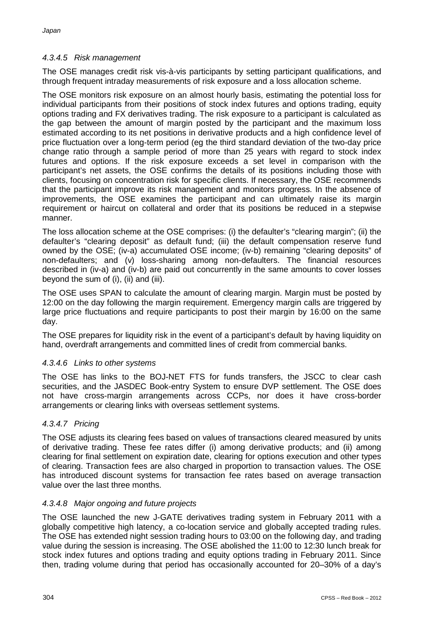# *4.3.4.5 Risk management*

The OSE manages credit risk vis-à-vis participants by setting participant qualifications, and through frequent intraday measurements of risk exposure and a loss allocation scheme.

The OSE monitors risk exposure on an almost hourly basis, estimating the potential loss for individual participants from their positions of stock index futures and options trading, equity options trading and FX derivatives trading. The risk exposure to a participant is calculated as the gap between the amount of margin posted by the participant and the maximum loss estimated according to its net positions in derivative products and a high confidence level of price fluctuation over a long-term period (eg the third standard deviation of the two-day price change ratio through a sample period of more than 25 years with regard to stock index futures and options. If the risk exposure exceeds a set level in comparison with the participant's net assets, the OSE confirms the details of its positions including those with clients, focusing on concentration risk for specific clients. If necessary, the OSE recommends that the participant improve its risk management and monitors progress. In the absence of improvements, the OSE examines the participant and can ultimately raise its margin requirement or haircut on collateral and order that its positions be reduced in a stepwise manner.

The loss allocation scheme at the OSE comprises: (i) the defaulter's "clearing margin"; (ii) the defaulter's "clearing deposit" as default fund; (iii) the default compensation reserve fund owned by the OSE; (iv-a) accumulated OSE income; (iv-b) remaining "clearing deposits" of non-defaulters; and (v) loss-sharing among non-defaulters. The financial resources described in (iv-a) and (iv-b) are paid out concurrently in the same amounts to cover losses beyond the sum of (i), (ii) and (iii).

The OSE uses SPAN to calculate the amount of clearing margin. Margin must be posted by 12:00 on the day following the margin requirement. Emergency margin calls are triggered by large price fluctuations and require participants to post their margin by 16:00 on the same day.

The OSE prepares for liquidity risk in the event of a participant's default by having liquidity on hand, overdraft arrangements and committed lines of credit from commercial banks.

# *4.3.4.6 Links to other systems*

The OSE has links to the BOJ-NET FTS for funds transfers, the JSCC to clear cash securities, and the JASDEC Book-entry System to ensure DVP settlement. The OSE does not have cross-margin arrangements across CCPs, nor does it have cross-border arrangements or clearing links with overseas settlement systems.

# *4.3.4.7 Pricing*

The OSE adjusts its clearing fees based on values of transactions cleared measured by units of derivative trading. These fee rates differ (i) among derivative products; and (ii) among clearing for final settlement on expiration date, clearing for options execution and other types of clearing. Transaction fees are also charged in proportion to transaction values. The OSE has introduced discount systems for transaction fee rates based on average transaction value over the last three months.

#### *4.3.4.8 Major ongoing and future projects*

The OSE launched the new J-GATE derivatives trading system in February 2011 with a globally competitive high latency, a co-location service and globally accepted trading rules. The OSE has extended night session trading hours to 03:00 on the following day, and trading value during the session is increasing. The OSE abolished the 11:00 to 12:30 lunch break for stock index futures and options trading and equity options trading in February 2011. Since then, trading volume during that period has occasionally accounted for 20–30% of a day's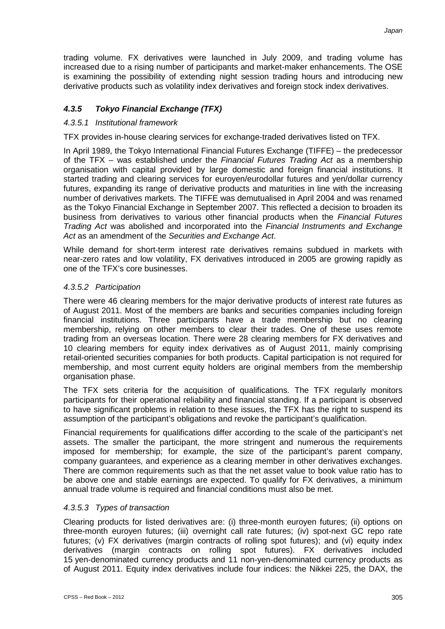trading volume. FX derivatives were launched in July 2009, and trading volume has increased due to a rising number of participants and market-maker enhancements. The OSE is examining the possibility of extending night session trading hours and introducing new derivative products such as volatility index derivatives and foreign stock index derivatives.

# *4.3.5 Tokyo Financial Exchange (TFX)*

# *4.3.5.1 Institutional framework*

TFX provides in-house clearing services for exchange-traded derivatives listed on TFX.

In April 1989, the Tokyo International Financial Futures Exchange (TIFFE) – the predecessor of the TFX – was established under the *Financial Futures Trading Act* as a membership organisation with capital provided by large domestic and foreign financial institutions. It started trading and clearing services for euroyen/eurodollar futures and yen/dollar currency futures, expanding its range of derivative products and maturities in line with the increasing number of derivatives markets. The TIFFE was demutualised in April 2004 and was renamed as the Tokyo Financial Exchange in September 2007. This reflected a decision to broaden its business from derivatives to various other financial products when the *Financial Futures Trading Act* was abolished and incorporated into the *Financial Instruments and Exchange Act* as an amendment of the *Securities and Exchange Act*.

While demand for short-term interest rate derivatives remains subdued in markets with near-zero rates and low volatility, FX derivatives introduced in 2005 are growing rapidly as one of the TFX's core businesses.

#### *4.3.5.2 Participation*

There were 46 clearing members for the major derivative products of interest rate futures as of August 2011. Most of the members are banks and securities companies including foreign financial institutions. Three participants have a trade membership but no clearing membership, relying on other members to clear their trades. One of these uses remote trading from an overseas location. There were 28 clearing members for FX derivatives and 10 clearing members for equity index derivatives as of August 2011, mainly comprising retail-oriented securities companies for both products. Capital participation is not required for membership, and most current equity holders are original members from the membership organisation phase.

The TFX sets criteria for the acquisition of qualifications. The TFX regularly monitors participants for their operational reliability and financial standing. If a participant is observed to have significant problems in relation to these issues, the TFX has the right to suspend its assumption of the participant's obligations and revoke the participant's qualification.

Financial requirements for qualifications differ according to the scale of the participant's net assets. The smaller the participant, the more stringent and numerous the requirements imposed for membership; for example, the size of the participant's parent company, company guarantees, and experience as a clearing member in other derivatives exchanges. There are common requirements such as that the net asset value to book value ratio has to be above one and stable earnings are expected. To qualify for FX derivatives, a minimum annual trade volume is required and financial conditions must also be met.

# *4.3.5.3 Types of transaction*

Clearing products for listed derivatives are: (i) three-month euroyen futures; (ii) options on three-month euroyen futures; (iii) overnight call rate futures; (iv) spot-next GC repo rate futures; (v) FX derivatives (margin contracts of rolling spot futures); and (vi) equity index derivatives (margin contracts on rolling spot futures). FX derivatives included 15 yen-denominated currency products and 11 non-yen-denominated currency products as of August 2011. Equity index derivatives include four indices: the Nikkei 225, the DAX, the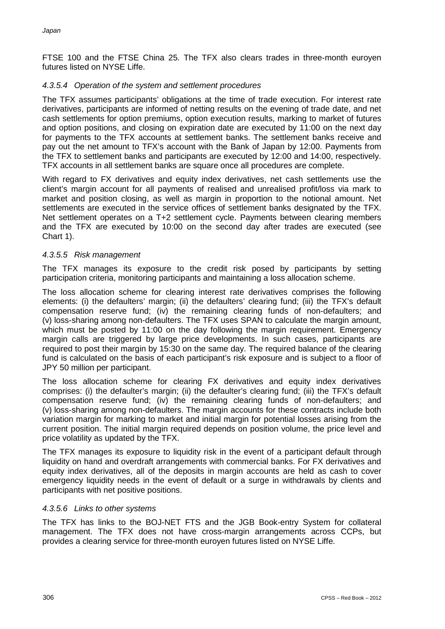FTSE 100 and the FTSE China 25. The TFX also clears trades in three-month euroyen futures listed on NYSE Liffe.

# *4.3.5.4 Operation of the system and settlement procedures*

The TFX assumes participants' obligations at the time of trade execution. For interest rate derivatives, participants are informed of netting results on the evening of trade date, and net cash settlements for option premiums, option execution results, marking to market of futures and option positions, and closing on expiration date are executed by 11:00 on the next day for payments to the TFX accounts at settlement banks. The settlement banks receive and pay out the net amount to TFX's account with the Bank of Japan by 12:00. Payments from the TFX to settlement banks and participants are executed by 12:00 and 14:00, respectively. TFX accounts in all settlement banks are square once all procedures are complete.

With regard to FX derivatives and equity index derivatives, net cash settlements use the client's margin account for all payments of realised and unrealised profit/loss via mark to market and position closing, as well as margin in proportion to the notional amount. Net settlements are executed in the service offices of settlement banks designated by the TFX. Net settlement operates on a T+2 settlement cycle. Payments between clearing members and the TFX are executed by 10:00 on the second day after trades are executed (see Chart 1).

# *4.3.5.5 Risk management*

The TFX manages its exposure to the credit risk posed by participants by setting participation criteria, monitoring participants and maintaining a loss allocation scheme.

The loss allocation scheme for clearing interest rate derivatives comprises the following elements: (i) the defaulters' margin; (ii) the defaulters' clearing fund; (iii) the TFX's default compensation reserve fund; (iv) the remaining clearing funds of non-defaulters; and (v) loss-sharing among non-defaulters. The TFX uses SPAN to calculate the margin amount, which must be posted by 11:00 on the day following the margin requirement. Emergency margin calls are triggered by large price developments. In such cases, participants are required to post their margin by 15:30 on the same day. The required balance of the clearing fund is calculated on the basis of each participant's risk exposure and is subject to a floor of JPY 50 million per participant.

The loss allocation scheme for clearing FX derivatives and equity index derivatives comprises: (i) the defaulter's margin; (ii) the defaulter's clearing fund; (iii) the TFX's default compensation reserve fund; (iv) the remaining clearing funds of non-defaulters; and (v) loss-sharing among non-defaulters. The margin accounts for these contracts include both variation margin for marking to market and initial margin for potential losses arising from the current position. The initial margin required depends on position volume, the price level and price volatility as updated by the TFX.

The TFX manages its exposure to liquidity risk in the event of a participant default through liquidity on hand and overdraft arrangements with commercial banks. For FX derivatives and equity index derivatives, all of the deposits in margin accounts are held as cash to cover emergency liquidity needs in the event of default or a surge in withdrawals by clients and participants with net positive positions.

#### *4.3.5.6 Links to other systems*

The TFX has links to the BOJ-NET FTS and the JGB Book-entry System for collateral management. The TFX does not have cross-margin arrangements across CCPs, but provides a clearing service for three-month euroyen futures listed on NYSE Liffe.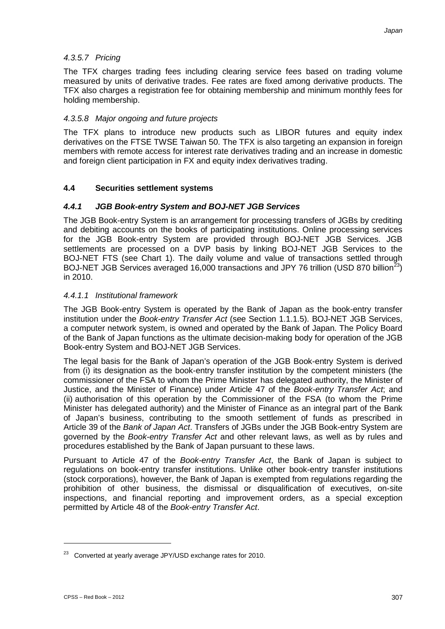# *4.3.5.7 Pricing*

The TFX charges trading fees including clearing service fees based on trading volume measured by units of derivative trades. Fee rates are fixed among derivative products. The TFX also charges a registration fee for obtaining membership and minimum monthly fees for holding membership.

### *4.3.5.8 Major ongoing and future projects*

The TFX plans to introduce new products such as LIBOR futures and equity index derivatives on the FTSE TWSE Taiwan 50. The TFX is also targeting an expansion in foreign members with remote access for interest rate derivatives trading and an increase in domestic and foreign client participation in FX and equity index derivatives trading.

#### **4.4 Securities settlement systems**

#### *4.4.1 JGB Book-entry System and BOJ-NET JGB Services*

The JGB Book-entry System is an arrangement for processing transfers of JGBs by crediting and debiting accounts on the books of participating institutions. Online processing services for the JGB Book-entry System are provided through BOJ-NET JGB Services. JGB settlements are processed on a DVP basis by linking BOJ-NET JGB Services to the BOJ-NET FTS (see Chart 1). The daily volume and value of transactions settled through BOJ-NET JGB Services averaged 16,000 transactions and JPY 76 trillion (USD 870 billion<sup>23</sup>) in 2010.

#### *4.4.1.1 Institutional framework*

The JGB Book-entry System is operated by the Bank of Japan as the book-entry transfer institution under the *Book-entry Transfer Act* (see Section 1.1.1.5). BOJ-NET JGB Services, a computer network system, is owned and operated by the Bank of Japan. The Policy Board of the Bank of Japan functions as the ultimate decision-making body for operation of the JGB Book-entry System and BOJ-NET JGB Services.

The legal basis for the Bank of Japan's operation of the JGB Book-entry System is derived from (i) its designation as the book-entry transfer institution by the competent ministers (the commissioner of the FSA to whom the Prime Minister has delegated authority, the Minister of Justice, and the Minister of Finance) under Article 47 of the *Book-entry Transfer Act*; and (ii) authorisation of this operation by the Commissioner of the FSA (to whom the Prime Minister has delegated authority) and the Minister of Finance as an integral part of the Bank of Japan's business, contributing to the smooth settlement of funds as prescribed in Article 39 of the *Bank of Japan Act*. Transfers of JGBs under the JGB Book-entry System are governed by the *Book-entry Transfer Act* and other relevant laws, as well as by rules and procedures established by the Bank of Japan pursuant to these laws.

Pursuant to Article 47 of the *Book-entry Transfer Act*, the Bank of Japan is subject to regulations on book-entry transfer institutions. Unlike other book-entry transfer institutions (stock corporations), however, the Bank of Japan is exempted from regulations regarding the prohibition of other business, the dismissal or disqualification of executives, on-site inspections, and financial reporting and improvement orders, as a special exception permitted by Article 48 of the *Book-entry Transfer Act*.

<sup>&</sup>lt;sup>23</sup> Converted at yearly average JPY/USD exchange rates for 2010.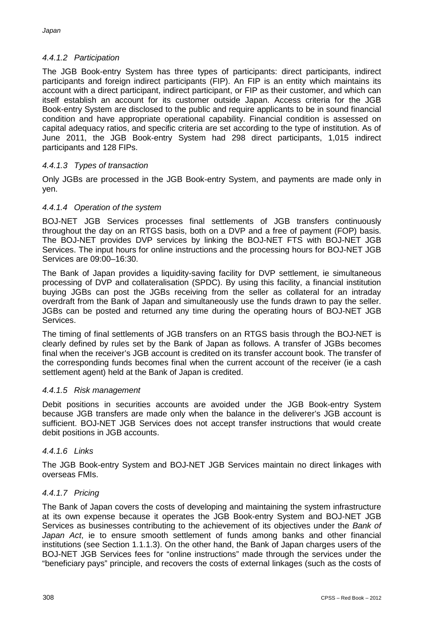# *4.4.1.2 Participation*

The JGB Book-entry System has three types of participants: direct participants, indirect participants and foreign indirect participants (FIP). An FIP is an entity which maintains its account with a direct participant, indirect participant, or FIP as their customer, and which can itself establish an account for its customer outside Japan. Access criteria for the JGB Book-entry System are disclosed to the public and require applicants to be in sound financial condition and have appropriate operational capability. Financial condition is assessed on capital adequacy ratios, and specific criteria are set according to the type of institution. As of June 2011, the JGB Book-entry System had 298 direct participants, 1,015 indirect participants and 128 FIPs.

# *4.4.1.3 Types of transaction*

Only JGBs are processed in the JGB Book-entry System, and payments are made only in yen.

# *4.4.1.4 Operation of the system*

BOJ-NET JGB Services processes final settlements of JGB transfers continuously throughout the day on an RTGS basis, both on a DVP and a free of payment (FOP) basis. The BOJ-NET provides DVP services by linking the BOJ-NET FTS with BOJ-NET JGB Services. The input hours for online instructions and the processing hours for BOJ-NET JGB Services are 09:00–16:30.

The Bank of Japan provides a liquidity-saving facility for DVP settlement, ie simultaneous processing of DVP and collateralisation (SPDC). By using this facility, a financial institution buying JGBs can post the JGBs receiving from the seller as collateral for an intraday overdraft from the Bank of Japan and simultaneously use the funds drawn to pay the seller. JGBs can be posted and returned any time during the operating hours of BOJ-NET JGB Services.

The timing of final settlements of JGB transfers on an RTGS basis through the BOJ-NET is clearly defined by rules set by the Bank of Japan as follows. A transfer of JGBs becomes final when the receiver's JGB account is credited on its transfer account book. The transfer of the corresponding funds becomes final when the current account of the receiver (ie a cash settlement agent) held at the Bank of Japan is credited.

# *4.4.1.5 Risk management*

Debit positions in securities accounts are avoided under the JGB Book-entry System because JGB transfers are made only when the balance in the deliverer's JGB account is sufficient. BOJ-NET JGB Services does not accept transfer instructions that would create debit positions in JGB accounts.

# *4.4.1.6 Links*

The JGB Book-entry System and BOJ-NET JGB Services maintain no direct linkages with overseas FMIs.

#### *4.4.1.7 Pricing*

The Bank of Japan covers the costs of developing and maintaining the system infrastructure at its own expense because it operates the JGB Book-entry System and BOJ-NET JGB Services as businesses contributing to the achievement of its objectives under the *Bank of Japan Act*, ie to ensure smooth settlement of funds among banks and other financial institutions (see Section 1.1.1.3). On the other hand, the Bank of Japan charges users of the BOJ-NET JGB Services fees for "online instructions" made through the services under the "beneficiary pays" principle, and recovers the costs of external linkages (such as the costs of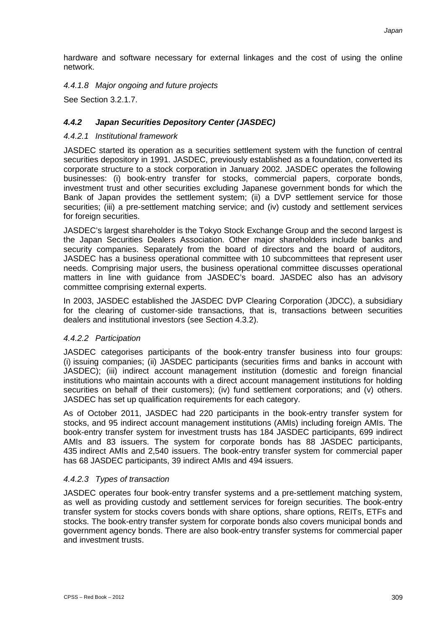hardware and software necessary for external linkages and the cost of using the online network.

### *4.4.1.8 Major ongoing and future projects*

See Section 3.2.1.7.

# *4.4.2 Japan Securities Depository Center (JASDEC)*

#### *4.4.2.1 Institutional framework*

JASDEC started its operation as a securities settlement system with the function of central securities depository in 1991. JASDEC, previously established as a foundation, converted its corporate structure to a stock corporation in January 2002. JASDEC operates the following businesses: (i) book-entry transfer for stocks, commercial papers, corporate bonds, investment trust and other securities excluding Japanese government bonds for which the Bank of Japan provides the settlement system; (ii) a DVP settlement service for those securities; (iii) a pre-settlement matching service; and (iv) custody and settlement services for foreign securities.

JASDEC's largest shareholder is the Tokyo Stock Exchange Group and the second largest is the Japan Securities Dealers Association. Other major shareholders include banks and security companies. Separately from the board of directors and the board of auditors, JASDEC has a business operational committee with 10 subcommittees that represent user needs. Comprising major users, the business operational committee discusses operational matters in line with guidance from JASDEC's board. JASDEC also has an advisory committee comprising external experts.

In 2003, JASDEC established the JASDEC DVP Clearing Corporation (JDCC), a subsidiary for the clearing of customer-side transactions, that is, transactions between securities dealers and institutional investors (see Section 4.3.2).

# *4.4.2.2 Participation*

JASDEC categorises participants of the book-entry transfer business into four groups: (i) issuing companies; (ii) JASDEC participants (securities firms and banks in account with JASDEC); (iii) indirect account management institution (domestic and foreign financial institutions who maintain accounts with a direct account management institutions for holding securities on behalf of their customers); (iv) fund settlement corporations; and (v) others. JASDEC has set up qualification requirements for each category.

As of October 2011, JASDEC had 220 participants in the book-entry transfer system for stocks, and 95 indirect account management institutions (AMIs) including foreign AMIs. The book-entry transfer system for investment trusts has 184 JASDEC participants, 699 indirect AMIs and 83 issuers. The system for corporate bonds has 88 JASDEC participants, 435 indirect AMIs and 2,540 issuers. The book-entry transfer system for commercial paper has 68 JASDEC participants, 39 indirect AMIs and 494 issuers.

#### *4.4.2.3 Types of transaction*

JASDEC operates four book-entry transfer systems and a pre-settlement matching system, as well as providing custody and settlement services for foreign securities. The book-entry transfer system for stocks covers bonds with share options, share options, REITs, ETFs and stocks. The book-entry transfer system for corporate bonds also covers municipal bonds and government agency bonds. There are also book-entry transfer systems for commercial paper and investment trusts.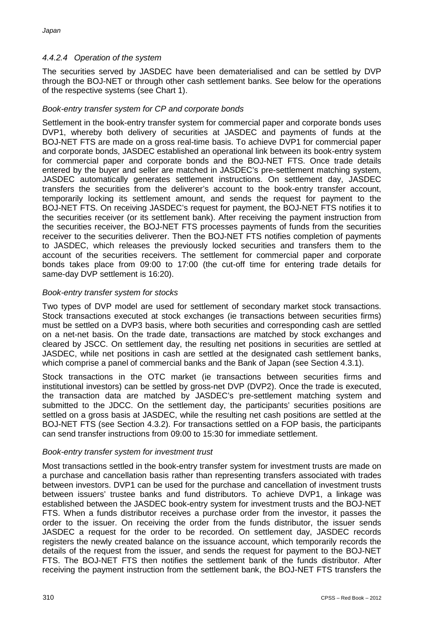# *4.4.2.4 Operation of the system*

The securities served by JASDEC have been dematerialised and can be settled by DVP through the BOJ-NET or through other cash settlement banks. See below for the operations of the respective systems (see Chart 1).

# *Book-entry transfer system for CP and corporate bonds*

Settlement in the book-entry transfer system for commercial paper and corporate bonds uses DVP1, whereby both delivery of securities at JASDEC and payments of funds at the BOJ-NET FTS are made on a gross real-time basis. To achieve DVP1 for commercial paper and corporate bonds, JASDEC established an operational link between its book-entry system for commercial paper and corporate bonds and the BOJ-NET FTS. Once trade details entered by the buyer and seller are matched in JASDEC's pre-settlement matching system, JASDEC automatically generates settlement instructions. On settlement day, JASDEC transfers the securities from the deliverer's account to the book-entry transfer account, temporarily locking its settlement amount, and sends the request for payment to the BOJ-NET FTS. On receiving JASDEC's request for payment, the BOJ-NET FTS notifies it to the securities receiver (or its settlement bank). After receiving the payment instruction from the securities receiver, the BOJ-NET FTS processes payments of funds from the securities receiver to the securities deliverer. Then the BOJ-NET FTS notifies completion of payments to JASDEC, which releases the previously locked securities and transfers them to the account of the securities receivers. The settlement for commercial paper and corporate bonds takes place from 09:00 to 17:00 (the cut-off time for entering trade details for same-day DVP settlement is 16:20).

#### *Book-entry transfer system for stocks*

Two types of DVP model are used for settlement of secondary market stock transactions. Stock transactions executed at stock exchanges (ie transactions between securities firms) must be settled on a DVP3 basis, where both securities and corresponding cash are settled on a net-net basis. On the trade date, transactions are matched by stock exchanges and cleared by JSCC. On settlement day, the resulting net positions in securities are settled at JASDEC, while net positions in cash are settled at the designated cash settlement banks, which comprise a panel of commercial banks and the Bank of Japan (see Section 4.3.1).

Stock transactions in the OTC market (ie transactions between securities firms and institutional investors) can be settled by gross-net DVP (DVP2). Once the trade is executed, the transaction data are matched by JASDEC's pre-settlement matching system and submitted to the JDCC. On the settlement day, the participants' securities positions are settled on a gross basis at JASDEC, while the resulting net cash positions are settled at the BOJ-NET FTS (see Section 4.3.2). For transactions settled on a FOP basis, the participants can send transfer instructions from 09:00 to 15:30 for immediate settlement.

#### *Book-entry transfer system for investment trust*

Most transactions settled in the book-entry transfer system for investment trusts are made on a purchase and cancellation basis rather than representing transfers associated with trades between investors. DVP1 can be used for the purchase and cancellation of investment trusts between issuers' trustee banks and fund distributors. To achieve DVP1, a linkage was established between the JASDEC book-entry system for investment trusts and the BOJ-NET FTS. When a funds distributor receives a purchase order from the investor, it passes the order to the issuer. On receiving the order from the funds distributor, the issuer sends JASDEC a request for the order to be recorded. On settlement day, JASDEC records registers the newly created balance on the issuance account, which temporarily records the details of the request from the issuer, and sends the request for payment to the BOJ-NET FTS. The BOJ-NET FTS then notifies the settlement bank of the funds distributor. After receiving the payment instruction from the settlement bank, the BOJ-NET FTS transfers the